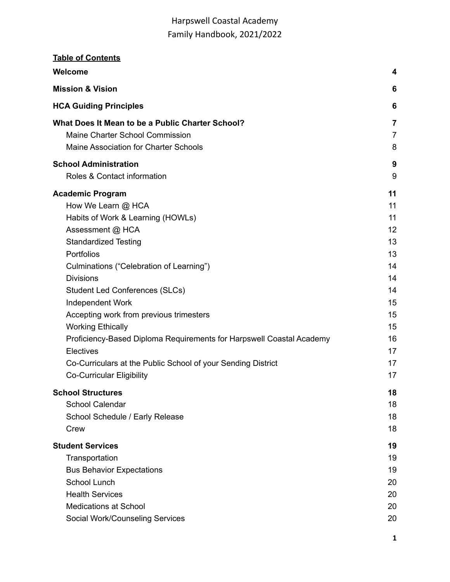| <b>Table of Contents</b>                                                                         |                |
|--------------------------------------------------------------------------------------------------|----------------|
| <b>Welcome</b>                                                                                   | 4              |
| <b>Mission &amp; Vision</b>                                                                      | 6              |
| <b>HCA Guiding Principles</b>                                                                    | 6              |
| What Does It Mean to be a Public Charter School?                                                 | $\overline{7}$ |
| Maine Charter School Commission                                                                  | $\overline{7}$ |
| Maine Association for Charter Schools                                                            | 8              |
| <b>School Administration</b>                                                                     | 9              |
| Roles & Contact information                                                                      | 9              |
| <b>Academic Program</b>                                                                          | 11             |
| How We Learn @ HCA                                                                               | 11             |
| Habits of Work & Learning (HOWLs)                                                                | 11             |
| Assessment @ HCA                                                                                 | 12             |
| <b>Standardized Testing</b>                                                                      | 13             |
| Portfolios                                                                                       | 13             |
| Culminations ("Celebration of Learning")                                                         | 14             |
| <b>Divisions</b>                                                                                 | 14             |
| <b>Student Led Conferences (SLCs)</b>                                                            | 14             |
| Independent Work                                                                                 | 15             |
| Accepting work from previous trimesters                                                          | 15             |
| <b>Working Ethically</b>                                                                         | 15             |
| Proficiency-Based Diploma Requirements for Harpswell Coastal Academy                             | 16             |
| Electives                                                                                        | 17             |
| Co-Curriculars at the Public School of your Sending District<br><b>Co-Curricular Eligibility</b> | 17<br>17       |
| <b>School Structures</b>                                                                         | 18             |
| <b>School Calendar</b>                                                                           | 18             |
| School Schedule / Early Release                                                                  | 18             |
| Crew                                                                                             | 18             |
| <b>Student Services</b>                                                                          | 19             |
| Transportation                                                                                   | 19             |
| <b>Bus Behavior Expectations</b>                                                                 | 19             |
| <b>School Lunch</b>                                                                              | 20             |
| <b>Health Services</b>                                                                           | 20             |
| <b>Medications at School</b>                                                                     | 20             |
| Social Work/Counseling Services                                                                  | 20             |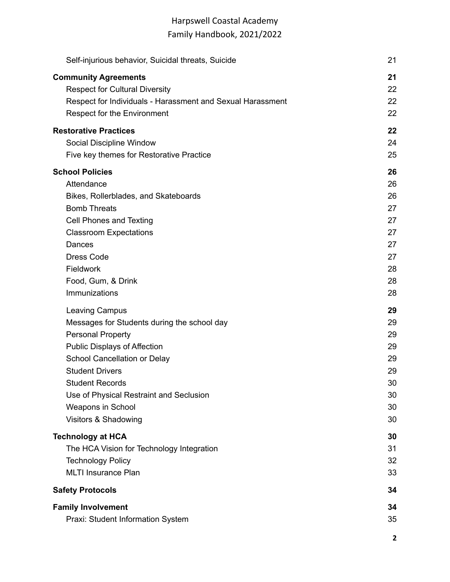| Self-injurious behavior, Suicidal threats, Suicide         | 21 |
|------------------------------------------------------------|----|
| <b>Community Agreements</b>                                | 21 |
| <b>Respect for Cultural Diversity</b>                      | 22 |
| Respect for Individuals - Harassment and Sexual Harassment | 22 |
| <b>Respect for the Environment</b>                         | 22 |
| <b>Restorative Practices</b>                               | 22 |
| Social Discipline Window                                   | 24 |
| Five key themes for Restorative Practice                   | 25 |
| <b>School Policies</b>                                     | 26 |
| Attendance                                                 | 26 |
| Bikes, Rollerblades, and Skateboards                       | 26 |
| <b>Bomb Threats</b>                                        | 27 |
| Cell Phones and Texting                                    | 27 |
| <b>Classroom Expectations</b>                              | 27 |
| Dances                                                     | 27 |
| <b>Dress Code</b>                                          | 27 |
| Fieldwork                                                  | 28 |
| Food, Gum, & Drink                                         | 28 |
| Immunizations                                              | 28 |
| Leaving Campus                                             | 29 |
| Messages for Students during the school day                | 29 |
| <b>Personal Property</b>                                   | 29 |
| Public Displays of Affection                               | 29 |
| School Cancellation or Delay                               | 29 |
| <b>Student Drivers</b>                                     | 29 |
| <b>Student Records</b>                                     | 30 |
| Use of Physical Restraint and Seclusion                    | 30 |
| Weapons in School                                          | 30 |
| Visitors & Shadowing                                       | 30 |
| <b>Technology at HCA</b>                                   | 30 |
| The HCA Vision for Technology Integration                  | 31 |
| <b>Technology Policy</b>                                   | 32 |
| <b>MLTI Insurance Plan</b>                                 | 33 |
| <b>Safety Protocols</b>                                    | 34 |
| <b>Family Involvement</b>                                  | 34 |
| Praxi: Student Information System                          | 35 |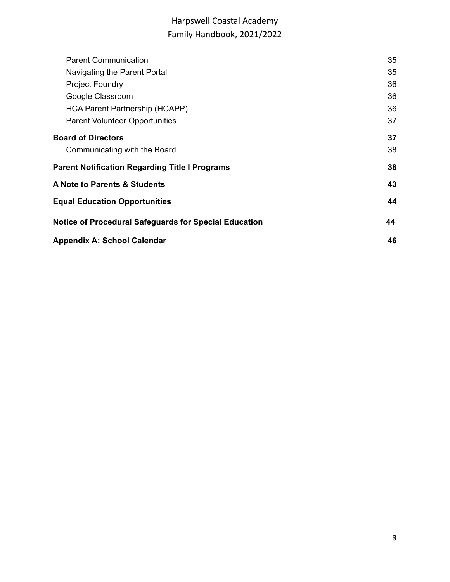| <b>Parent Communication</b>                                  | 35 |  |  |  |
|--------------------------------------------------------------|----|--|--|--|
| Navigating the Parent Portal                                 | 35 |  |  |  |
| <b>Project Foundry</b>                                       | 36 |  |  |  |
| Google Classroom                                             | 36 |  |  |  |
| HCA Parent Partnership (HCAPP)                               | 36 |  |  |  |
| <b>Parent Volunteer Opportunities</b>                        | 37 |  |  |  |
| <b>Board of Directors</b>                                    | 37 |  |  |  |
| Communicating with the Board                                 | 38 |  |  |  |
| <b>Parent Notification Regarding Title I Programs</b>        | 38 |  |  |  |
| <b>A Note to Parents &amp; Students</b>                      | 43 |  |  |  |
| <b>Equal Education Opportunities</b>                         | 44 |  |  |  |
| <b>Notice of Procedural Safeguards for Special Education</b> | 44 |  |  |  |
| <b>Appendix A: School Calendar</b>                           |    |  |  |  |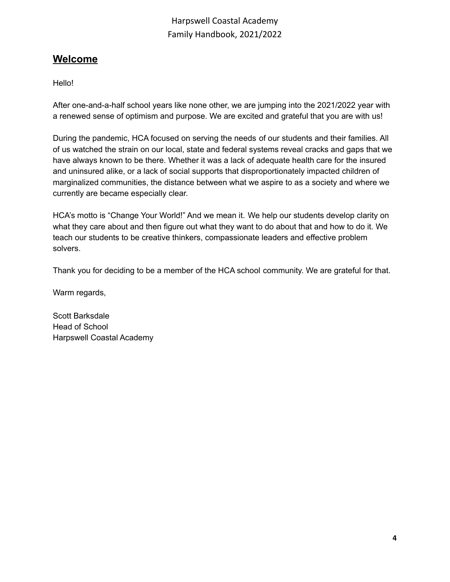## <span id="page-3-0"></span>**Welcome**

Hello!

After one-and-a-half school years like none other, we are jumping into the 2021/2022 year with a renewed sense of optimism and purpose. We are excited and grateful that you are with us!

During the pandemic, HCA focused on serving the needs of our students and their families. All of us watched the strain on our local, state and federal systems reveal cracks and gaps that we have always known to be there. Whether it was a lack of adequate health care for the insured and uninsured alike, or a lack of social supports that disproportionately impacted children of marginalized communities, the distance between what we aspire to as a society and where we currently are became especially clear.

HCA's motto is "Change Your World!" And we mean it. We help our students develop clarity on what they care about and then figure out what they want to do about that and how to do it. We teach our students to be creative thinkers, compassionate leaders and effective problem solvers.

Thank you for deciding to be a member of the HCA school community. We are grateful for that.

Warm regards,

Scott Barksdale Head of School Harpswell Coastal Academy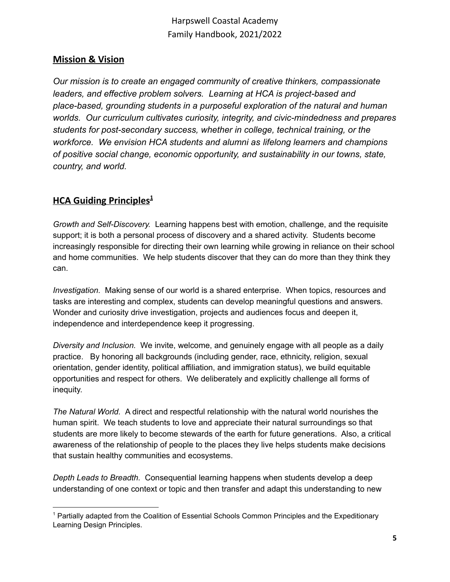## <span id="page-4-0"></span>**Mission & Vision**

*Our mission is to create an engaged community of creative thinkers, compassionate leaders, and effective problem solvers. Learning at HCA is project-based and place-based, grounding students in a purposeful exploration of the natural and human worlds. Our curriculum cultivates curiosity, integrity, and civic-mindedness and prepares students for post-secondary success, whether in college, technical training, or the workforce. We envision HCA students and alumni as lifelong learners and champions of positive social change, economic opportunity, and sustainability in our towns, state, country, and world.*

## <span id="page-4-1"></span>**HCA Guiding Principles 1**

*Growth and Self-Discovery.* Learning happens best with emotion, challenge, and the requisite support; it is both a personal process of discovery and a shared activity. Students become increasingly responsible for directing their own learning while growing in reliance on their school and home communities. We help students discover that they can do more than they think they can.

*Investigation.* Making sense of our world is a shared enterprise. When topics, resources and tasks are interesting and complex, students can develop meaningful questions and answers. Wonder and curiosity drive investigation, projects and audiences focus and deepen it, independence and interdependence keep it progressing.

*Diversity and Inclusion.* We invite, welcome, and genuinely engage with all people as a daily practice. By honoring all backgrounds (including gender, race, ethnicity, religion, sexual orientation, gender identity, political affiliation, and immigration status), we build equitable opportunities and respect for others. We deliberately and explicitly challenge all forms of inequity.

*The Natural World.* A direct and respectful relationship with the natural world nourishes the human spirit. We teach students to love and appreciate their natural surroundings so that students are more likely to become stewards of the earth for future generations. Also, a critical awareness of the relationship of people to the places they live helps students make decisions that sustain healthy communities and ecosystems.

*Depth Leads to Breadth.* Consequential learning happens when students develop a deep understanding of one context or topic and then transfer and adapt this understanding to new

<sup>1</sup> Partially adapted from the Coalition of Essential Schools Common Principles and the Expeditionary Learning Design Principles.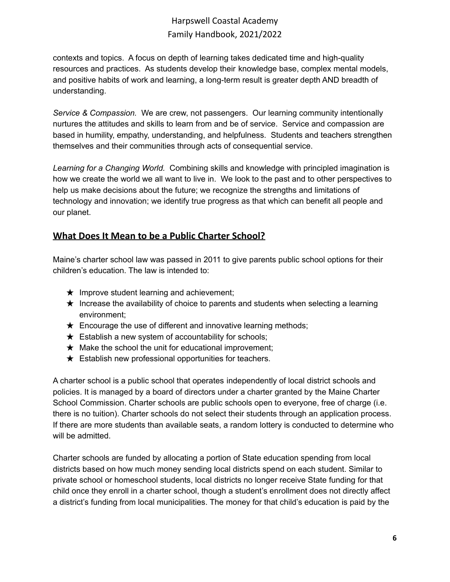contexts and topics. A focus on depth of learning takes dedicated time and high-quality resources and practices. As students develop their knowledge base, complex mental models, and positive habits of work and learning, a long-term result is greater depth AND breadth of understanding.

*Service & Compassion.* We are crew, not passengers. Our learning community intentionally nurtures the attitudes and skills to learn from and be of service. Service and compassion are based in humility, empathy, understanding, and helpfulness. Students and teachers strengthen themselves and their communities through acts of consequential service.

*Learning for a Changing World.* Combining skills and knowledge with principled imagination is how we create the world we all want to live in. We look to the past and to other perspectives to help us make decisions about the future; we recognize the strengths and limitations of technology and innovation; we identify true progress as that which can benefit all people and our planet.

## <span id="page-5-0"></span>**What Does It Mean to be a Public Charter School?**

Maine's charter school law was passed in 2011 to give parents public school options for their children's education. The law is intended to:

- $\star$  Improve student learning and achievement;
- $\star$  Increase the availability of choice to parents and students when selecting a learning environment;
- $\star$  Encourage the use of different and innovative learning methods;
- $\star$  Establish a new system of accountability for schools;
- $\star$  Make the school the unit for educational improvement;
- $\star$  Establish new professional opportunities for teachers.

A charter school is a public school that operates independently of local district schools and policies. It is managed by a board of directors under a charter granted by the Maine Charter School Commission. Charter schools are public schools open to everyone, free of charge (i.e. there is no tuition). Charter schools do not select their students through an application process. If there are more students than available seats, a random lottery is conducted to determine who will be admitted.

Charter schools are funded by allocating a portion of State education spending from local districts based on how much money sending local districts spend on each student. Similar to private school or homeschool students, local districts no longer receive State funding for that child once they enroll in a charter school, though a student's enrollment does not directly affect a district's funding from local municipalities. The money for that child's education is paid by the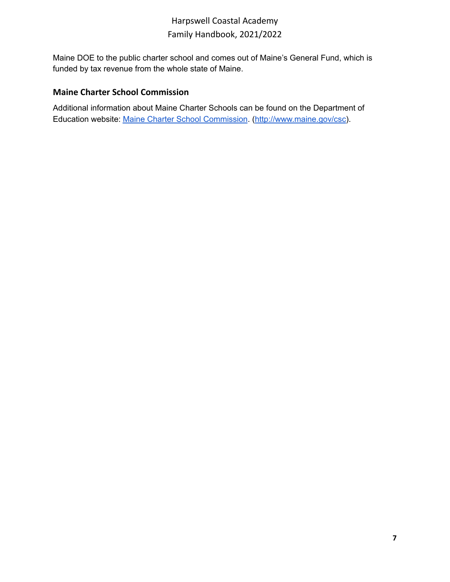Maine DOE to the public charter school and comes out of Maine's General Fund, which is funded by tax revenue from the whole state of Maine.

## <span id="page-6-0"></span>**Maine Charter School Commission**

Additional information about Maine Charter Schools can be found on the Department of Education website: Maine Charter School [Commission](http://www.maine.gov/csc/). ([http://www.maine.gov/csc\)](http://www.maine.gov/csc).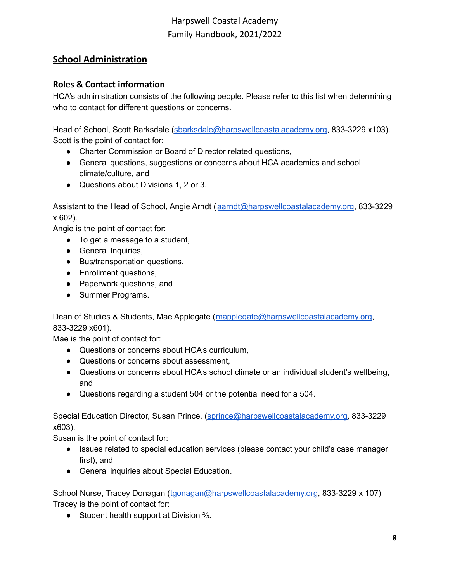## <span id="page-7-0"></span>**School Administration**

## <span id="page-7-1"></span>**Roles & Contact information**

HCA's administration consists of the following people. Please refer to this list when determining who to contact for different questions or concerns.

Head of School, Scott Barksdale ([sbarksdale@harpswellcoastalacademy.org](mailto:sbarksdale@harpswellcoastalacademy.org), 833-3229 x103). Scott is the point of contact for:

- Charter Commission or Board of Director related questions,
- General questions, suggestions or concerns about HCA academics and school climate/culture, and
- Questions about Divisions 1, 2 or 3.

Assistant to the Head of School, Angie Arndt ([aarndt@harpswellcoastalacademy.org,](mailto:aarndt@harpswellcoastalacademy.org) 833-3229 x 602).

Angie is the point of contact for:

- $\bullet$  To get a message to a student,
- General Inquiries,
- Bus/transportation questions,
- Enrollment questions,
- Paperwork questions, and
- Summer Programs.

Dean of Studies & Students, Mae Applegate ([mapplegate@harpswellcoastalacademy.org](mailto:mapplegate@harpswellcoastalacademy.org), 833-3229 x601).

Mae is the point of contact for:

- Questions or concerns about HCA's curriculum,
- Questions or concerns about assessment,
- Questions or concerns about HCA's school climate or an individual student's wellbeing, and
- Questions regarding a student 504 or the potential need for a 504.

Special Education Director, Susan Prince, [\(sprince@harpswellcoastalacademy.org,](mailto:sprince@harpswellcoastalacademy.org) 833-3229 x603).

Susan is the point of contact for:

- Issues related to special education services (please contact your child's case manager first), and
- General inquiries about Special Education.

School Nurse, Tracey Donagan ([tgonagan@harpswellcoastalacademy.org,](mailto:tgonagan@harpswellcoastalacademy.org) 833-3229 x 107) Tracey is the point of contact for:

● Student health support at Division  $\frac{2}{3}$ .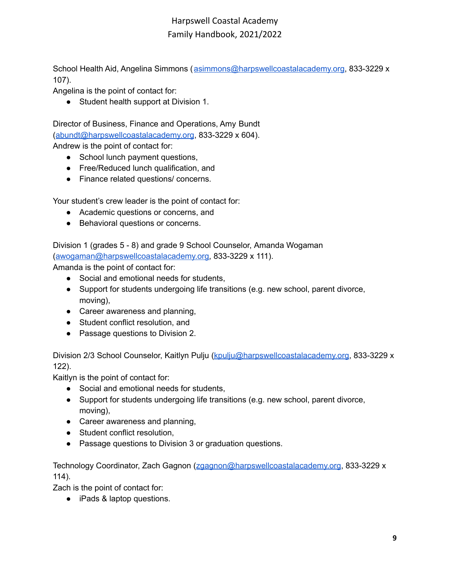School Health Aid, Angelina Simmons ([asimmons@harpswellcoastalacademy.org](mailto:asimmons@harpswellcoastalacademy.org), 833-3229 x 107).

Angelina is the point of contact for:

● Student health support at Division 1.

Director of Business, Finance and Operations, Amy Bundt ([abundt@harpswellcoastalacademy.org](mailto:abundt@harpswellcoastalacademy.org), 833-3229 x 604). Andrew is the point of contact for:

- School lunch payment questions,
- Free/Reduced lunch qualification, and
- Finance related questions/ concerns.

Your student's crew leader is the point of contact for:

- Academic questions or concerns, and
- Behavioral questions or concerns.

Division 1 (grades 5 - 8) and grade 9 School Counselor, Amanda Wogaman ([awogaman@harpswellcoastalacademy.org,](mailto:awogaman@harpswellcoastalacademy.org) 833-3229 x 111).

Amanda is the point of contact for:

- Social and emotional needs for students,
- Support for students undergoing life transitions (e.g. new school, parent divorce, moving),
- Career awareness and planning,
- Student conflict resolution, and
- Passage questions to Division 2.

Division 2/3 School Counselor, Kaitlyn Pulju [\(kpulju@harpswellcoastalacademy.org](mailto:kpulju@harpswellcoastalacademy.org), 833-3229 x 122).

Kaitlyn is the point of contact for:

- Social and emotional needs for students,
- Support for students undergoing life transitions (e.g. new school, parent divorce, moving),
- Career awareness and planning,
- Student conflict resolution,
- Passage questions to Division 3 or graduation questions.

Technology Coordinator, Zach Gagnon ([zgagnon@harpswellcoastalacademy.org](mailto:zgagnon@harpswellcoastalacademy.org), 833-3229 x 114).

Zach is the point of contact for:

● iPads & laptop questions.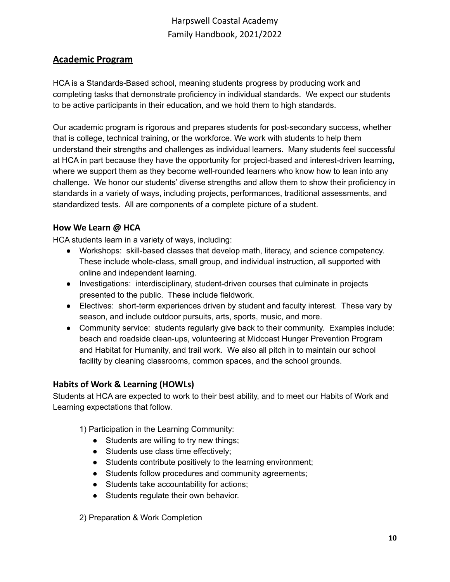## <span id="page-9-0"></span>**Academic Program**

HCA is a Standards-Based school, meaning students progress by producing work and completing tasks that demonstrate proficiency in individual standards. We expect our students to be active participants in their education, and we hold them to high standards.

Our academic program is rigorous and prepares students for post-secondary success, whether that is college, technical training, or the workforce. We work with students to help them understand their strengths and challenges as individual learners. Many students feel successful at HCA in part because they have the opportunity for project-based and interest-driven learning, where we support them as they become well-rounded learners who know how to lean into any challenge. We honor our students' diverse strengths and allow them to show their proficiency in standards in a variety of ways, including projects, performances, traditional assessments, and standardized tests. All are components of a complete picture of a student.

### <span id="page-9-1"></span>**How We Learn @ HCA**

HCA students learn in a variety of ways, including:

- Workshops: skill-based classes that develop math, literacy, and science competency. These include whole-class, small group, and individual instruction, all supported with online and independent learning.
- Investigations: interdisciplinary, student-driven courses that culminate in projects presented to the public. These include fieldwork.
- Electives: short-term experiences driven by student and faculty interest. These vary by season, and include outdoor pursuits, arts, sports, music, and more.
- Community service: students regularly give back to their community. Examples include: beach and roadside clean-ups, volunteering at Midcoast Hunger Prevention Program and Habitat for Humanity, and trail work. We also all pitch in to maintain our school facility by cleaning classrooms, common spaces, and the school grounds.

## <span id="page-9-2"></span>**Habits of Work & Learning (HOWLs)**

Students at HCA are expected to work to their best ability, and to meet our Habits of Work and Learning expectations that follow.

- 1) Participation in the Learning Community:
	- Students are willing to try new things;
	- Students use class time effectively;
	- Students contribute positively to the learning environment;
	- Students follow procedures and community agreements;
	- Students take accountability for actions;
	- Students regulate their own behavior.

2) Preparation & Work Completion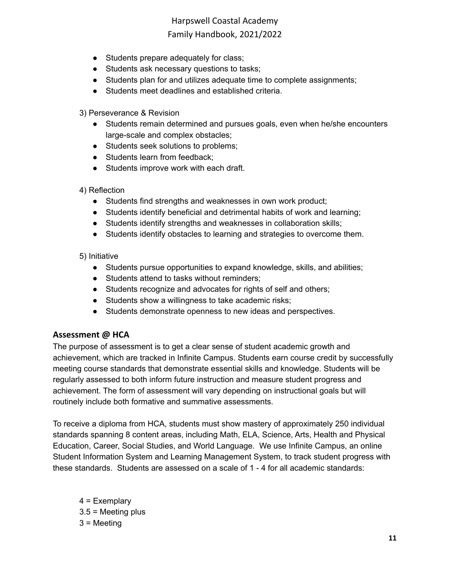- Students prepare adequately for class;
- Students ask necessary questions to tasks;
- Students plan for and utilizes adequate time to complete assignments;
- Students meet deadlines and established criteria.
- 3) Perseverance & Revision
	- Students remain determined and pursues goals, even when he/she encounters large-scale and complex obstacles;
	- Students seek solutions to problems;
	- Students learn from feedback;
	- Students improve work with each draft.
- 4) Reflection
	- Students find strengths and weaknesses in own work product;
	- Students identify beneficial and detrimental habits of work and learning;
	- Students identify strengths and weaknesses in collaboration skills;
	- Students identify obstacles to learning and strategies to overcome them.

#### 5) Initiative

- Students pursue opportunities to expand knowledge, skills, and abilities;
- Students attend to tasks without reminders;
- Students recognize and advocates for rights of self and others;
- Students show a willingness to take academic risks;
- Students demonstrate openness to new ideas and perspectives.

### <span id="page-10-0"></span>**Assessment @ HCA**

The purpose of assessment is to get a clear sense of student academic growth and achievement, which are tracked in Infinite Campus. Students earn course credit by successfully meeting course standards that demonstrate essential skills and knowledge. Students will be regularly assessed to both inform future instruction and measure student progress and achievement. The form of assessment will vary depending on instructional goals but will routinely include both formative and summative assessments.

To receive a diploma from HCA, students must show mastery of approximately 250 individual standards spanning 8 content areas, including Math, ELA, Science, Arts, Health and Physical Education, Career, Social Studies, and World Language. We use Infinite Campus, an online Student Information System and Learning Management System, to track student progress with these standards. Students are assessed on a scale of 1 - 4 for all academic standards:

4 = Exemplary  $3.5$  = Meeting plus 3 = Meeting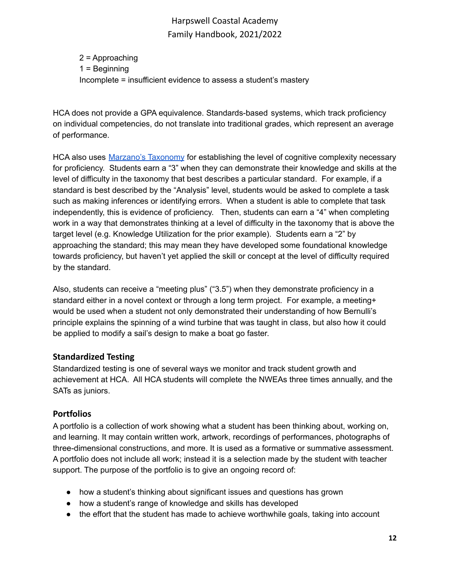2 = Approaching 1 = Beginning Incomplete = insufficient evidence to assess a student's mastery

HCA does not provide a GPA equivalence. Standards-based systems, which track proficiency on individual competencies, do not translate into traditional grades, which represent an average of performance.

HCA also uses [Marzano's](https://www.cgcsd.org/site/handlers/filedownload.ashx?moduleinstanceid=2605&dataid=4203&FileName=Marzano_Taxonomy_with_Verbs.pdf) Taxonomy for establishing the level of cognitive complexity necessary for proficiency. Students earn a "3" when they can demonstrate their knowledge and skills at the level of difficulty in the taxonomy that best describes a particular standard. For example, if a standard is best described by the "Analysis" level, students would be asked to complete a task such as making inferences or identifying errors. When a student is able to complete that task independently, this is evidence of proficiency. Then, students can earn a "4" when completing work in a way that demonstrates thinking at a level of difficulty in the taxonomy that is above the target level (e.g. Knowledge Utilization for the prior example). Students earn a "2" by approaching the standard; this may mean they have developed some foundational knowledge towards proficiency, but haven't yet applied the skill or concept at the level of difficulty required by the standard.

Also, students can receive a "meeting plus" ("3.5") when they demonstrate proficiency in a standard either in a novel context or through a long term project. For example, a meeting+ would be used when a student not only demonstrated their understanding of how Bernulli's principle explains the spinning of a wind turbine that was taught in class, but also how it could be applied to modify a sail's design to make a boat go faster.

## <span id="page-11-0"></span>**Standardized Testing**

Standardized testing is one of several ways we monitor and track student growth and achievement at HCA. All HCA students will complete the NWEAs three times annually, and the SATs as juniors.

## <span id="page-11-1"></span>**Portfolios**

A portfolio is a collection of work showing what a student has been thinking about, working on, and learning. It may contain written work, artwork, recordings of performances, photographs of three-dimensional constructions, and more. It is used as a formative or summative assessment. A portfolio does not include all work; instead it is a selection made by the student with teacher support. The purpose of the portfolio is to give an ongoing record of:

- how a student's thinking about significant issues and questions has grown
- how a student's range of knowledge and skills has developed
- the effort that the student has made to achieve worthwhile goals, taking into account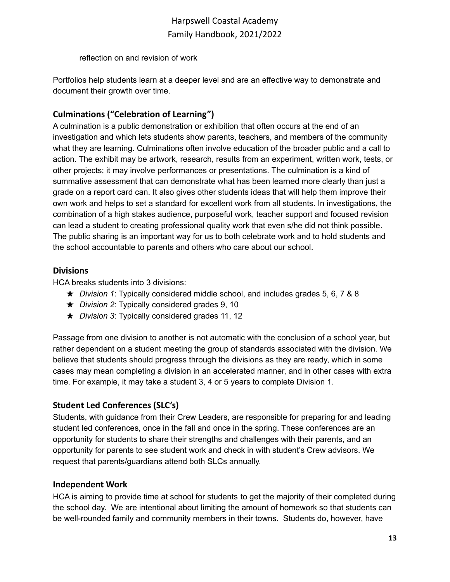reflection on and revision of work

Portfolios help students learn at a deeper level and are an effective way to demonstrate and document their growth over time.

## <span id="page-12-0"></span>**Culminations ("Celebration of Learning")**

A culmination is a public demonstration or exhibition that often occurs at the end of an investigation and which lets students show parents, teachers, and members of the community what they are learning. Culminations often involve education of the broader public and a call to action. The exhibit may be artwork, research, results from an experiment, written work, tests, or other projects; it may involve performances or presentations. The culmination is a kind of summative assessment that can demonstrate what has been learned more clearly than just a grade on a report card can. It also gives other students ideas that will help them improve their own work and helps to set a standard for excellent work from all students. In investigations, the combination of a high stakes audience, purposeful work, teacher support and focused revision can lead a student to creating professional quality work that even s/he did not think possible. The public sharing is an important way for us to both celebrate work and to hold students and the school accountable to parents and others who care about our school.

### <span id="page-12-1"></span>**Divisions**

HCA breaks students into 3 divisions:

- ★ *Division 1*: Typically considered middle school, and includes grades 5, 6, 7 & 8
- ★ *Division 2*: Typically considered grades 9, 10
- ★ *Division 3*: Typically considered grades 11, 12

Passage from one division to another is not automatic with the conclusion of a school year, but rather dependent on a student meeting the group of standards associated with the division. We believe that students should progress through the divisions as they are ready, which in some cases may mean completing a division in an accelerated manner, and in other cases with extra time. For example, it may take a student 3, 4 or 5 years to complete Division 1.

## <span id="page-12-2"></span>**Student Led Conferences (SLC's)**

Students, with guidance from their Crew Leaders, are responsible for preparing for and leading student led conferences, once in the fall and once in the spring. These conferences are an opportunity for students to share their strengths and challenges with their parents, and an opportunity for parents to see student work and check in with student's Crew advisors. We request that parents/guardians attend both SLCs annually.

## <span id="page-12-3"></span>**Independent Work**

HCA is aiming to provide time at school for students to get the majority of their completed during the school day. We are intentional about limiting the amount of homework so that students can be well-rounded family and community members in their towns. Students do, however, have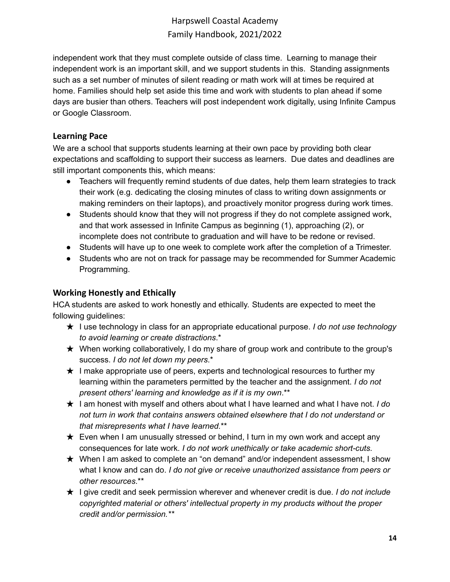independent work that they must complete outside of class time. Learning to manage their independent work is an important skill, and we support students in this. Standing assignments such as a set number of minutes of silent reading or math work will at times be required at home. Families should help set aside this time and work with students to plan ahead if some days are busier than others. Teachers will post independent work digitally, using Infinite Campus or Google Classroom.

### <span id="page-13-0"></span>**Learning Pace**

We are a school that supports students learning at their own pace by providing both clear expectations and scaffolding to support their success as learners. Due dates and deadlines are still important components this, which means:

- Teachers will frequently remind students of due dates, help them learn strategies to track their work (e.g. dedicating the closing minutes of class to writing down assignments or making reminders on their laptops), and proactively monitor progress during work times.
- Students should know that they will not progress if they do not complete assigned work, and that work assessed in Infinite Campus as beginning (1), approaching (2), or incomplete does not contribute to graduation and will have to be redone or revised.
- Students will have up to one week to complete work after the completion of a Trimester.
- Students who are not on track for passage may be recommended for Summer Academic Programming.

## <span id="page-13-1"></span>**Working Honestly and Ethically**

HCA students are asked to work honestly and ethically. Students are expected to meet the following guidelines:

- ★ I use technology in class for an appropriate educational purpose. *I do not use technology to avoid learning or create distractions*.\*
- $\star$  When working collaboratively, I do my share of group work and contribute to the group's success. *I do not let down my peers*.\*
- $\star$  I make appropriate use of peers, experts and technological resources to further my learning within the parameters permitted by the teacher and the assignment. *I do not present others' learning and knowledge as if it is my own*.\*\*
- ★ I am honest with myself and others about what I have learned and what I have not. *I do not turn in work that contains answers obtained elsewhere that I do not understand or that misrepresents what I have learned.*\*\*
- $\star$  Even when I am unusually stressed or behind, I turn in my own work and accept any consequences for late work. *I do not work unethically or take academic short-cuts.*
- ★ When I am asked to complete an "on demand" and/or independent assessment, I show what I know and can do. *I do not give or receive unauthorized assistance from peers or other resources*.\*\*
- ★ I give credit and seek permission wherever and whenever credit is due. *I do not include copyrighted material or others' intellectual property in my products without the proper credit and/or permission.\*\**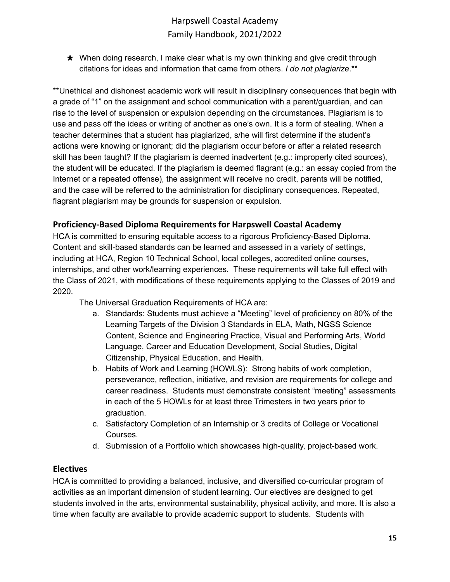$\star$  When doing research, I make clear what is my own thinking and give credit through citations for ideas and information that came from others. *I do not plagiarize*.\*\*

\*\*Unethical and dishonest academic work will result in disciplinary consequences that begin with a grade of "1" on the assignment and school communication with a parent/guardian, and can rise to the level of suspension or expulsion depending on the circumstances. Plagiarism is to use and pass off the ideas or writing of another as one's own. It is a form of stealing. When a teacher determines that a student has plagiarized, s/he will first determine if the student's actions were knowing or ignorant; did the plagiarism occur before or after a related research skill has been taught? If the plagiarism is deemed inadvertent (e.g.: improperly cited sources), the student will be educated. If the plagiarism is deemed flagrant (e.g.: an essay copied from the Internet or a repeated offense), the assignment will receive no credit, parents will be notified, and the case will be referred to the administration for disciplinary consequences. Repeated, flagrant plagiarism may be grounds for suspension or expulsion.

## <span id="page-14-0"></span>**Proficiency-Based Diploma Requirements for Harpswell Coastal Academy**

HCA is committed to ensuring equitable access to a rigorous Proficiency-Based Diploma. Content and skill-based standards can be learned and assessed in a variety of settings, including at HCA, Region 10 Technical School, local colleges, accredited online courses, internships, and other work/learning experiences. These requirements will take full effect with the Class of 2021, with modifications of these requirements applying to the Classes of 2019 and 2020.

The Universal Graduation Requirements of HCA are:

- a. Standards: Students must achieve a "Meeting" level of proficiency on 80% of the Learning Targets of the Division 3 Standards in ELA, Math, NGSS Science Content, Science and Engineering Practice, Visual and Performing Arts, World Language, Career and Education Development, Social Studies, Digital Citizenship, Physical Education, and Health.
- b. Habits of Work and Learning (HOWLS): Strong habits of work completion, perseverance, reflection, initiative, and revision are requirements for college and career readiness. Students must demonstrate consistent "meeting" assessments in each of the 5 HOWLs for at least three Trimesters in two years prior to graduation.
- c. Satisfactory Completion of an Internship or 3 credits of College or Vocational Courses.
- d. Submission of a Portfolio which showcases high-quality, project-based work.

## <span id="page-14-1"></span>**Electives**

HCA is committed to providing a balanced, inclusive, and diversified co-curricular program of activities as an important dimension of student learning. Our electives are designed to get students involved in the arts, environmental sustainability, physical activity, and more. It is also a time when faculty are available to provide academic support to students. Students with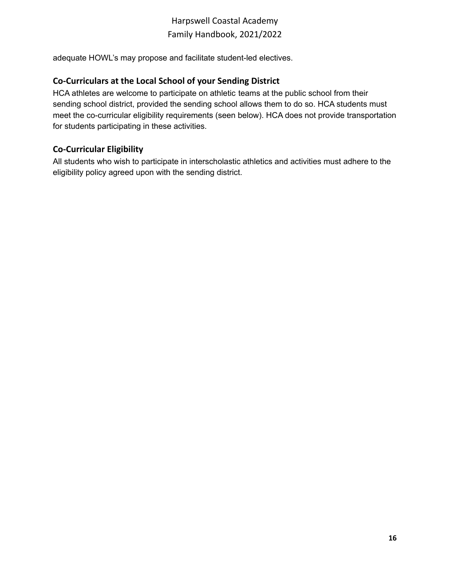adequate HOWL's may propose and facilitate student-led electives.

### <span id="page-15-0"></span>**Co-Curriculars at the Local School of your Sending District**

HCA athletes are welcome to participate on athletic teams at the public school from their sending school district, provided the sending school allows them to do so. HCA students must meet the co-curricular eligibility requirements (seen below). HCA does not provide transportation for students participating in these activities.

### <span id="page-15-1"></span>**Co-Curricular Eligibility**

All students who wish to participate in interscholastic athletics and activities must adhere to the eligibility policy agreed upon with the sending district.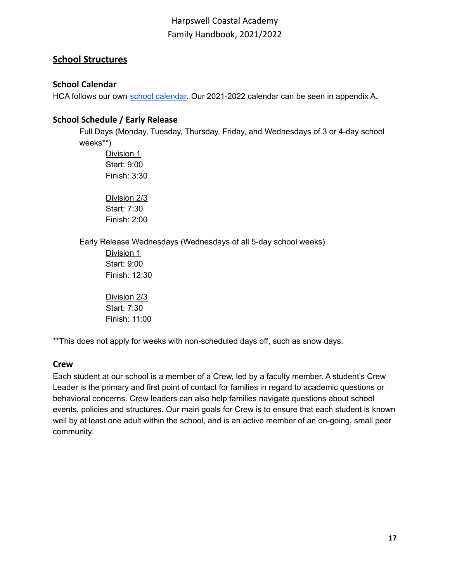## <span id="page-16-0"></span>**School Structures**

## <span id="page-16-1"></span>**School Calendar**

HCA follows our own school [calendar](https://harpswellcoastalacademy.org/wp-content/uploads/2021/06/HCA-Calendar-2021-22.pdf). Our 2021-2022 calendar can be seen in appendix A.

### <span id="page-16-2"></span>**School Schedule / Early Release**

Full Days (Monday, Tuesday, Thursday, Friday, and Wednesdays of 3 or 4-day school weeks\*\*)

Division 1 Start: 9:00 Finish: 3:30

Division 2/3 Start: 7:30 Finish: 2:00

Early Release Wednesdays (Wednesdays of all 5-day school weeks)

Division 1 Start: 9:00 Finish: 12:30

Division 2/3 Start: 7:30 Finish: 11:00

\*\*This does not apply for weeks with non-scheduled days off, such as snow days.

## <span id="page-16-3"></span>**Crew**

Each student at our school is a member of a Crew, led by a faculty member. A student's Crew Leader is the primary and first point of contact for families in regard to academic questions or behavioral concerns. Crew leaders can also help families navigate questions about school events, policies and structures. Our main goals for Crew is to ensure that each student is known well by at least one adult within the school, and is an active member of an on-going, small peer community*.*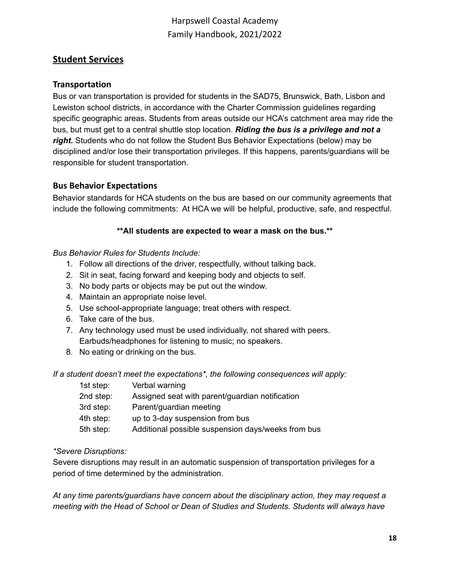## <span id="page-17-0"></span>**Student Services**

#### <span id="page-17-1"></span>**Transportation**

Bus or van transportation is provided for students in the SAD75, Brunswick, Bath, Lisbon and Lewiston school districts, in accordance with the Charter Commission guidelines regarding specific geographic areas. Students from areas outside our HCA's catchment area may ride the bus, but must get to a central shuttle stop location. *Riding the bus is a privilege and not a right.* Students who do not follow the Student Bus Behavior Expectations (below) may be disciplined and/or lose their transportation privileges. If this happens, parents/guardians will be responsible for student transportation.

#### <span id="page-17-2"></span>**Bus Behavior Expectations**

Behavior standards for HCA students on the bus are based on our community agreements that include the following commitments: At HCA we will be helpful, productive, safe, and respectful.

#### **\*\*All students are expected to wear a mask on the bus.\*\***

#### *Bus Behavior Rules for Students Include:*

- 1. Follow all directions of the driver, respectfully, without talking back.
- 2. Sit in seat, facing forward and keeping body and objects to self.
- 3. No body parts or objects may be put out the window.
- 4. Maintain an appropriate noise level.
- 5. Use school-appropriate language; treat others with respect.
- 6. Take care of the bus.
- 7. Any technology used must be used individually, not shared with peers. Earbuds/headphones for listening to music; no speakers.
- 8. No eating or drinking on the bus.

*If a student doesn't meet the expectations\*, the following consequences will apply:*

| 1st step: | Verbal warning                                     |
|-----------|----------------------------------------------------|
| 2nd step: | Assigned seat with parent/guardian notification    |
| 3rd step: | Parent/guardian meeting                            |
| 4th step: | up to 3-day suspension from bus                    |
| 5th step: | Additional possible suspension days/weeks from bus |
|           |                                                    |

#### *\*Severe Disruptions:*

Severe disruptions may result in an automatic suspension of transportation privileges for a period of time determined by the administration.

*At any time parents/guardians have concern about the disciplinary action, they may request a meeting with the Head of School or Dean of Studies and Students. Students will always have*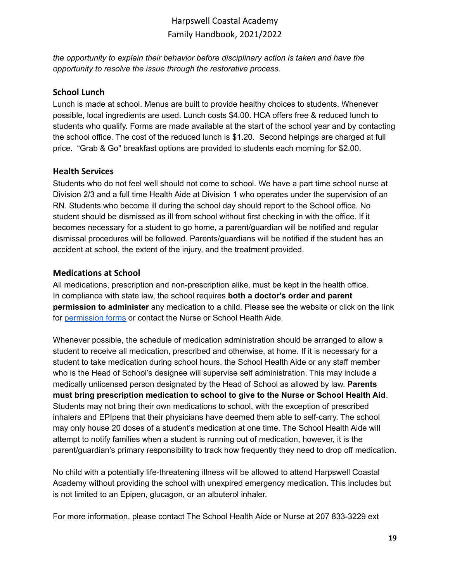*the opportunity to explain their behavior before disciplinary action is taken and have the opportunity to resolve the issue through the restorative process.*

### <span id="page-18-0"></span>**School Lunch**

Lunch is made at school. Menus are built to provide healthy choices to students. Whenever possible, local ingredients are used. Lunch costs \$4.00. HCA offers free & reduced lunch to students who qualify. Forms are made available at the start of the school year and by contacting the school office. The cost of the reduced lunch is \$1.20. Second helpings are charged at full price. "Grab & Go" breakfast options are provided to students each morning for \$2.00.

### <span id="page-18-1"></span>**Health Services**

Students who do not feel well should not come to school. We have a part time school nurse at Division 2/3 and a full time Health Aide at Division 1 who operates under the supervision of an RN. Students who become ill during the school day should report to the School office. No student should be dismissed as ill from school without first checking in with the office. If it becomes necessary for a student to go home, a parent/guardian will be notified and regular dismissal procedures will be followed. Parents/guardians will be notified if the student has an accident at school, the extent of the injury, and the treatment provided.

### <span id="page-18-2"></span>**Medications at School**

All medications, prescription and non-prescription alike, must be kept in the health office. In compliance with state law, the school requires **both a doctor's order and parent permission to administer** any medication to a child. Please see the website or click on the link for [permission](https://docs.google.com/document/d/1M92NHbNPCsbOaCMoNrBh7q9Td_GqwDi1t77ApGjUMC4/edit?usp=sharing) forms or contact the Nurse or School Health Aide.

Whenever possible, the schedule of medication administration should be arranged to allow a student to receive all medication, prescribed and otherwise, at home. If it is necessary for a student to take medication during school hours, the School Health Aide or any staff member who is the Head of School's designee will supervise self administration. This may include a medically unlicensed person designated by the Head of School as allowed by law. **Parents must bring prescription medication to school to give to the Nurse or School Health Aid**. Students may not bring their own medications to school, with the exception of prescribed inhalers and EPIpens that their physicians have deemed them able to self-carry. The school may only house 20 doses of a student's medication at one time. The School Health Aide will attempt to notify families when a student is running out of medication, however, it is the parent/guardian's primary responsibility to track how frequently they need to drop off medication.

No child with a potentially life-threatening illness will be allowed to attend Harpswell Coastal Academy without providing the school with unexpired emergency medication. This includes but is not limited to an Epipen, glucagon, or an albuterol inhaler.

For more information, please contact The School Health Aide or Nurse at 207 833-3229 ext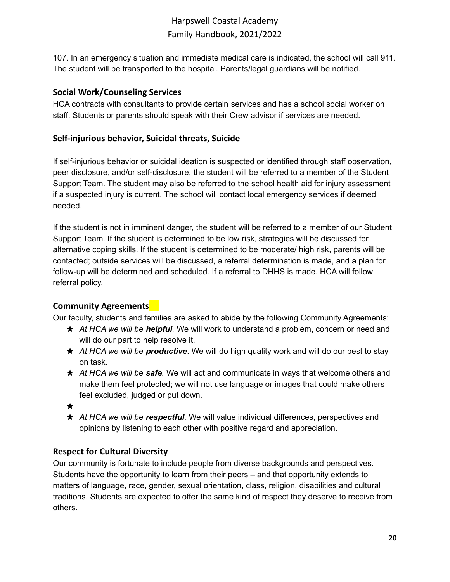107. In an emergency situation and immediate medical care is indicated, the school will call 911. The student will be transported to the hospital. Parents/legal guardians will be notified.

## <span id="page-19-0"></span>**Social Work/Counseling Services**

HCA contracts with consultants to provide certain services and has a school social worker on staff. Students or parents should speak with their Crew advisor if services are needed.

## <span id="page-19-1"></span>**Self-injurious behavior, Suicidal threats, Suicide**

If self-injurious behavior or suicidal ideation is suspected or identified through staff observation, peer disclosure, and/or self-disclosure, the student will be referred to a member of the Student Support Team. The student may also be referred to the school health aid for injury assessment if a suspected injury is current. The school will contact local emergency services if deemed needed.

If the student is not in imminent danger, the student will be referred to a member of our Student Support Team. If the student is determined to be low risk, strategies will be discussed for alternative coping skills. If the student is determined to be moderate/ high risk, parents will be contacted; outside services will be discussed, a referral determination is made, and a plan for follow-up will be determined and scheduled. If a referral to DHHS is made, HCA will follow referral policy.

## <span id="page-19-2"></span>**Community Agreements**

Our faculty, students and families are asked to abide by the following Community Agreements:

- ★ *At HCA we will be helpful.* We will work to understand a problem, concern or need and will do our part to help resolve it.
- ★ *At HCA we will be productive*. We will do high quality work and will do our best to stay on task.
- ★ *At HCA we will be safe.* We will act and communicate in ways that welcome others and make them feel protected; we will not use language or images that could make others feel excluded, judged or put down.
- ★
- ★ *At HCA we will be respectful.* We will value individual differences, perspectives and opinions by listening to each other with positive regard and appreciation.

## <span id="page-19-3"></span>**Respect for Cultural Diversity**

Our community is fortunate to include people from diverse backgrounds and perspectives. Students have the opportunity to learn from their peers – and that opportunity extends to matters of language, race, gender, sexual orientation, class, religion, disabilities and cultural traditions. Students are expected to offer the same kind of respect they deserve to receive from others.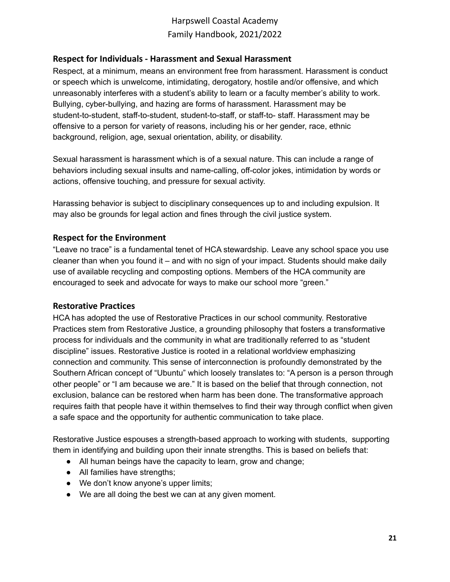### <span id="page-20-0"></span>**Respect for Individuals - Harassment and Sexual Harassment**

Respect, at a minimum, means an environment free from harassment. Harassment is conduct or speech which is unwelcome, intimidating, derogatory, hostile and/or offensive, and which unreasonably interferes with a student's ability to learn or a faculty member's ability to work. Bullying, cyber-bullying, and hazing are forms of harassment. Harassment may be student-to-student, staff-to-student, student-to-staff, or staff-to- staff. Harassment may be offensive to a person for variety of reasons, including his or her gender, race, ethnic background, religion, age, sexual orientation, ability, or disability.

Sexual harassment is harassment which is of a sexual nature. This can include a range of behaviors including sexual insults and name-calling, off-color jokes, intimidation by words or actions, offensive touching, and pressure for sexual activity.

Harassing behavior is subject to disciplinary consequences up to and including expulsion. It may also be grounds for legal action and fines through the civil justice system.

### <span id="page-20-1"></span>**Respect for the Environment**

"Leave no trace" is a fundamental tenet of HCA stewardship. Leave any school space you use cleaner than when you found it – and with no sign of your impact. Students should make daily use of available recycling and composting options. Members of the HCA community are encouraged to seek and advocate for ways to make our school more "green."

### <span id="page-20-2"></span>**Restorative Practices**

HCA has adopted the use of Restorative Practices in our school community. Restorative Practices stem from Restorative Justice, a grounding philosophy that fosters a transformative process for individuals and the community in what are traditionally referred to as "student discipline" issues. Restorative Justice is rooted in a relational worldview emphasizing connection and community. This sense of interconnection is profoundly demonstrated by the Southern African concept of "Ubuntu" which loosely translates to: "A person is a person through other people" or "I am because we are." It is based on the belief that through connection, not exclusion, balance can be restored when harm has been done. The transformative approach requires faith that people have it within themselves to find their way through conflict when given a safe space and the opportunity for authentic communication to take place.

Restorative Justice espouses a strength-based approach to working with students, supporting them in identifying and building upon their innate strengths. This is based on beliefs that:

- All human beings have the capacity to learn, grow and change;
- All families have strengths;
- We don't know anyone's upper limits;
- We are all doing the best we can at any given moment.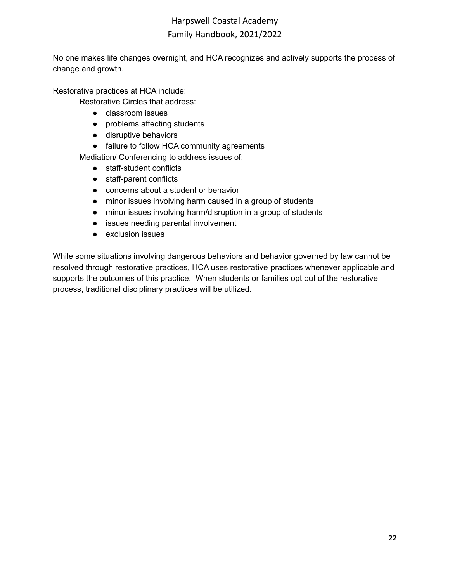No one makes life changes overnight, and HCA recognizes and actively supports the process of change and growth.

Restorative practices at HCA include:

Restorative Circles that address:

- classroom issues
- problems affecting students
- disruptive behaviors
- failure to follow HCA community agreements

Mediation/ Conferencing to address issues of:

- staff-student conflicts
- staff-parent conflicts
- concerns about a student or behavior
- minor issues involving harm caused in a group of students
- minor issues involving harm/disruption in a group of students
- issues needing parental involvement
- exclusion issues

While some situations involving dangerous behaviors and behavior governed by law cannot be resolved through restorative practices, HCA uses restorative practices whenever applicable and supports the outcomes of this practice. When students or families opt out of the restorative process, traditional disciplinary practices will be utilized.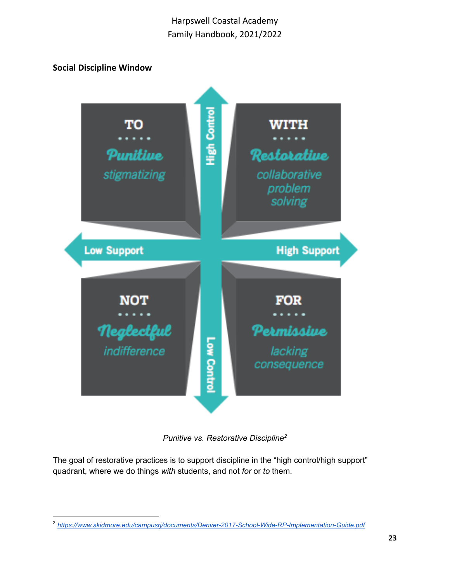## <span id="page-22-0"></span>**Social Discipline Window**



*Punitive vs. Restorative Discipline 2*

The goal of restorative practices is to support discipline in the "high control/high support" quadrant, where we do things *with* students, and not *for* or *to* them.

<sup>2</sup> *<https://www.skidmore.edu/campusrj/documents/Denver-2017-School-Wide-RP-Implementation-Guide.pdf>*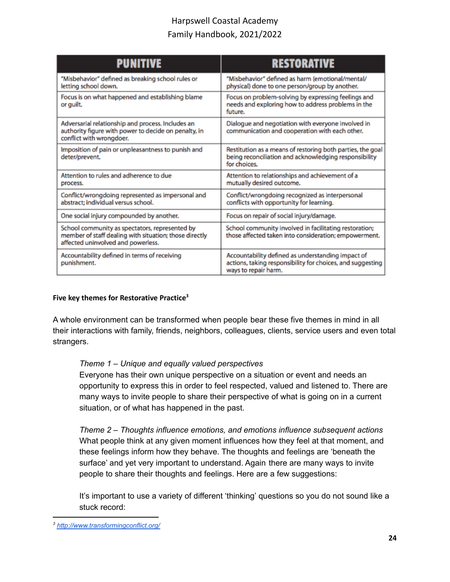| <b>PUNITIVE</b>                                                                                                                                | <b>RESTORATIVE</b>                                                                                                                      |
|------------------------------------------------------------------------------------------------------------------------------------------------|-----------------------------------------------------------------------------------------------------------------------------------------|
| "Misbehavior" defined as breaking school rules or<br>letting school down.                                                                      | "Misbehavior" defined as harm (emotional/mental/<br>physical) done to one person/group by another.                                      |
| Focus is on what happened and establishing blame<br>or guilt.                                                                                  | Focus on problem-solving by expressing feelings and<br>needs and exploring how to address problems in the<br>future.                    |
| Adversarial relationship and process. Includes an<br>authority figure with power to decide on penalty, in<br>conflict with wrongdoer.          | Dialogue and negotiation with everyone involved in<br>communication and cooperation with each other.                                    |
| Imposition of pain or unpleasantness to punish and<br>deter/prevent.                                                                           | Restitution as a means of restoring both parties, the goal<br>being reconciliation and acknowledging responsibility<br>for choices.     |
| Attention to rules and adherence to due<br>process.                                                                                            | Attention to relationships and achievement of a<br>mutually desired outcome.                                                            |
| Conflict/wrongdoing represented as impersonal and<br>abstract; individual versus school.                                                       | Conflict/wrongdoing recognized as interpersonal<br>conflicts with opportunity for learning.                                             |
| One social injury compounded by another.                                                                                                       | Focus on repair of social injury/damage.                                                                                                |
| School community as spectators, represented by<br>member of staff dealing with situation; those directly<br>affected uninvolved and powerless. | School community involved in facilitating restoration;<br>those affected taken into consideration; empowerment.                         |
| Accountability defined in terms of receiving<br>punishment.                                                                                    | Accountability defined as understanding impact of<br>actions, taking responsibility for choices, and suggesting<br>ways to repair harm. |

#### <span id="page-23-0"></span>**Five key themes for Restorative Practice 3**

A whole environment can be transformed when people bear these five themes in mind in all their interactions with family, friends, neighbors, colleagues, clients, service users and even total strangers.

#### *Theme 1 – Unique and equally valued perspectives*

Everyone has their own unique perspective on a situation or event and needs an opportunity to express this in order to feel respected, valued and listened to. There are many ways to invite people to share their perspective of what is going on in a current situation, or of what has happened in the past.

*Theme 2 – Thoughts influence emotions, and emotions influence subsequent actions* What people think at any given moment influences how they feel at that moment, and these feelings inform how they behave. The thoughts and feelings are 'beneath the surface' and yet very important to understand. Again there are many ways to invite people to share their thoughts and feelings. Here are a few suggestions:

It's important to use a variety of different 'thinking' questions so you do not sound like a stuck record:

*<sup>3</sup> <http://www.transformingconflict.org/>*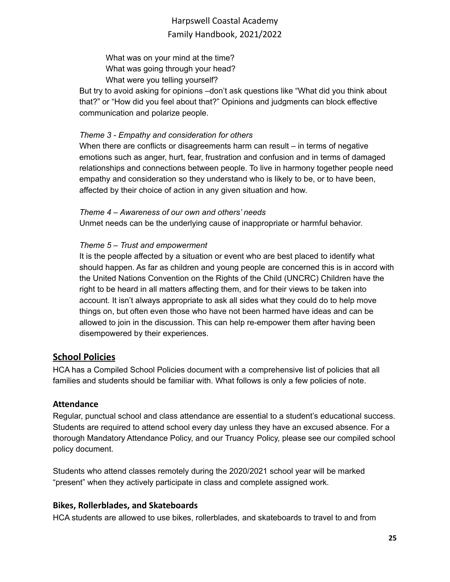What was on your mind at the time? What was going through your head? What were you telling yourself?

But try to avoid asking for opinions –don't ask questions like "What did you think about that?" or "How did you feel about that?" Opinions and judgments can block effective communication and polarize people.

### *Theme 3 - Empathy and consideration for others*

When there are conflicts or disagreements harm can result – in terms of negative emotions such as anger, hurt, fear, frustration and confusion and in terms of damaged relationships and connections between people. To live in harmony together people need empathy and consideration so they understand who is likely to be, or to have been, affected by their choice of action in any given situation and how.

### *Theme 4 – Awareness of our own and others' needs*

Unmet needs can be the underlying cause of inappropriate or harmful behavior.

### *Theme 5 – Trust and empowerment*

It is the people affected by a situation or event who are best placed to identify what should happen. As far as children and young people are concerned this is in accord with the United Nations Convention on the Rights of the Child (UNCRC) Children have the right to be heard in all matters affecting them, and for their views to be taken into account. It isn't always appropriate to ask all sides what they could do to help move things on, but often even those who have not been harmed have ideas and can be allowed to join in the discussion. This can help re-empower them after having been disempowered by their experiences.

## <span id="page-24-0"></span>**School Policies**

HCA has a Compiled School Policies document with a comprehensive list of policies that all families and students should be familiar with. What follows is only a few policies of note.

### <span id="page-24-1"></span>**Attendance**

Regular, punctual school and class attendance are essential to a student's educational success. Students are required to attend school every day unless they have an excused absence. For a thorough Mandatory Attendance Policy, and our Truancy Policy, please see our compiled school policy document.

Students who attend classes remotely during the 2020/2021 school year will be marked "present" when they actively participate in class and complete assigned work.

### <span id="page-24-2"></span>**Bikes, Rollerblades, and Skateboards**

HCA students are allowed to use bikes, rollerblades, and skateboards to travel to and from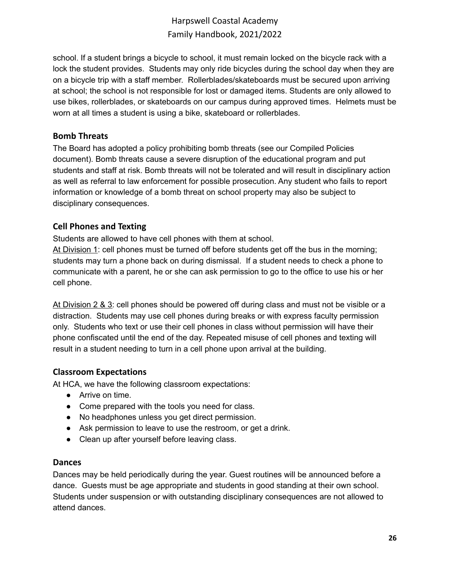school. If a student brings a bicycle to school, it must remain locked on the bicycle rack with a lock the student provides. Students may only ride bicycles during the school day when they are on a bicycle trip with a staff member. Rollerblades/skateboards must be secured upon arriving at school; the school is not responsible for lost or damaged items. Students are only allowed to use bikes, rollerblades, or skateboards on our campus during approved times. Helmets must be worn at all times a student is using a bike, skateboard or rollerblades.

#### <span id="page-25-0"></span>**Bomb Threats**

The Board has adopted a policy prohibiting bomb threats (see our Compiled Policies document). Bomb threats cause a severe disruption of the educational program and put students and staff at risk. Bomb threats will not be tolerated and will result in disciplinary action as well as referral to law enforcement for possible prosecution. Any student who fails to report information or knowledge of a bomb threat on school property may also be subject to disciplinary consequences.

### <span id="page-25-1"></span>**Cell Phones and Texting**

Students are allowed to have cell phones with them at school.

At Division 1: cell phones must be turned off before students get off the bus in the morning; students may turn a phone back on during dismissal. If a student needs to check a phone to communicate with a parent, he or she can ask permission to go to the office to use his or her cell phone.

At Division 2 & 3: cell phones should be powered off during class and must not be visible or a distraction. Students may use cell phones during breaks or with express faculty permission only. Students who text or use their cell phones in class without permission will have their phone confiscated until the end of the day. Repeated misuse of cell phones and texting will result in a student needing to turn in a cell phone upon arrival at the building.

### <span id="page-25-2"></span>**Classroom Expectations**

At HCA, we have the following classroom expectations:

- Arrive on time.
- Come prepared with the tools you need for class.
- No headphones unless you get direct permission.
- Ask permission to leave to use the restroom, or get a drink.
- Clean up after yourself before leaving class.

#### <span id="page-25-3"></span>**Dances**

Dances may be held periodically during the year. Guest routines will be announced before a dance. Guests must be age appropriate and students in good standing at their own school. Students under suspension or with outstanding disciplinary consequences are not allowed to attend dances.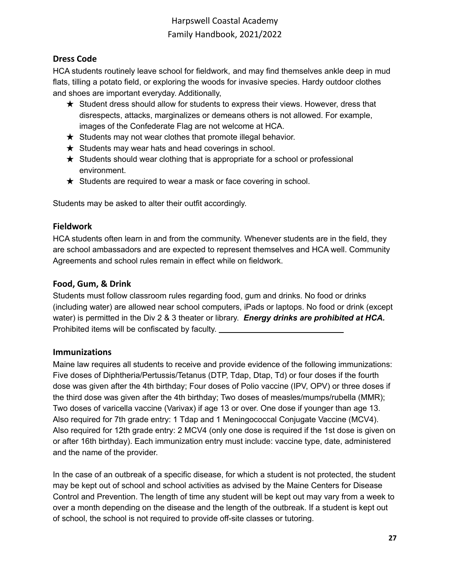## <span id="page-26-0"></span>**Dress Code**

HCA students routinely leave school for fieldwork, and may find themselves ankle deep in mud flats, tilling a potato field, or exploring the woods for invasive species. Hardy outdoor clothes and shoes are important everyday. Additionally,

- ★ Student dress should allow for students to express their views. However, dress that disrespects, attacks, marginalizes or demeans others is not allowed. For example, images of the Confederate Flag are not welcome at HCA.
- $\star$  Students may not wear clothes that promote illegal behavior.
- $\star$  Students may wear hats and head coverings in school.
- $\star$  Students should wear clothing that is appropriate for a school or professional environment.
- $\star$  Students are required to wear a mask or face covering in school.

Students may be asked to alter their outfit accordingly.

### <span id="page-26-1"></span>**Fieldwork**

HCA students often learn in and from the community. Whenever students are in the field, they are school ambassadors and are expected to represent themselves and HCA well. Community Agreements and school rules remain in effect while on fieldwork.

### <span id="page-26-2"></span>**Food, Gum, & Drink**

Students must follow classroom rules regarding food, gum and drinks. No food or drinks (including water) are allowed near school computers, iPads or laptops. No food or drink (except water) is permitted in the Div 2 & 3 theater or library. *Energy drinks are prohibited at HCA.* Prohibited items will be confiscated by faculty.

### <span id="page-26-3"></span>**Immunizations**

Maine law requires all students to receive and provide evidence of the following immunizations: Five doses of Diphtheria/Pertussis/Tetanus (DTP, Tdap, Dtap, Td) or four doses if the fourth dose was given after the 4th birthday; Four doses of Polio vaccine (IPV, OPV) or three doses if the third dose was given after the 4th birthday; Two doses of measles/mumps/rubella (MMR); Two doses of varicella vaccine (Varivax) if age 13 or over. One dose if younger than age 13. Also required for 7th grade entry: 1 Tdap and 1 Meningococcal Conjugate Vaccine (MCV4). Also required for 12th grade entry: 2 MCV4 (only one dose is required if the 1st dose is given on or after 16th birthday). Each immunization entry must include: vaccine type, date, administered and the name of the provider.

In the case of an outbreak of a specific disease, for which a student is not protected, the student may be kept out of school and school activities as advised by the Maine Centers for Disease Control and Prevention. The length of time any student will be kept out may vary from a week to over a month depending on the disease and the length of the outbreak. If a student is kept out of school, the school is not required to provide off-site classes or tutoring.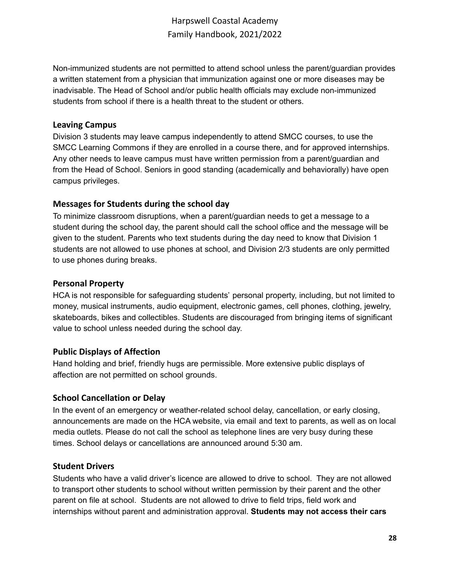Non-immunized students are not permitted to attend school unless the parent/guardian provides a written statement from a physician that immunization against one or more diseases may be inadvisable. The Head of School and/or public health officials may exclude non-immunized students from school if there is a health threat to the student or others.

#### <span id="page-27-0"></span>**Leaving Campus**

Division 3 students may leave campus independently to attend SMCC courses, to use the SMCC Learning Commons if they are enrolled in a course there, and for approved internships. Any other needs to leave campus must have written permission from a parent/guardian and from the Head of School. Seniors in good standing (academically and behaviorally) have open campus privileges.

### <span id="page-27-1"></span>**Messages for Students during the school day**

To minimize classroom disruptions, when a parent/guardian needs to get a message to a student during the school day, the parent should call the school office and the message will be given to the student. Parents who text students during the day need to know that Division 1 students are not allowed to use phones at school, and Division 2/3 students are only permitted to use phones during breaks.

### <span id="page-27-2"></span>**Personal Property**

HCA is not responsible for safeguarding students' personal property, including, but not limited to money, musical instruments, audio equipment, electronic games, cell phones, clothing, jewelry, skateboards, bikes and collectibles. Students are discouraged from bringing items of significant value to school unless needed during the school day.

### <span id="page-27-3"></span>**Public Displays of Affection**

Hand holding and brief, friendly hugs are permissible. More extensive public displays of affection are not permitted on school grounds.

### <span id="page-27-4"></span>**School Cancellation or Delay**

In the event of an emergency or weather-related school delay, cancellation, or early closing, announcements are made on the HCA website, via email and text to parents, as well as on local media outlets. Please do not call the school as telephone lines are very busy during these times. School delays or cancellations are announced around 5:30 am.

### <span id="page-27-5"></span>**Student Drivers**

Students who have a valid driver's licence are allowed to drive to school. They are not allowed to transport other students to school without written permission by their parent and the other parent on file at school. Students are not allowed to drive to field trips, field work and internships without parent and administration approval. **Students may not access their cars**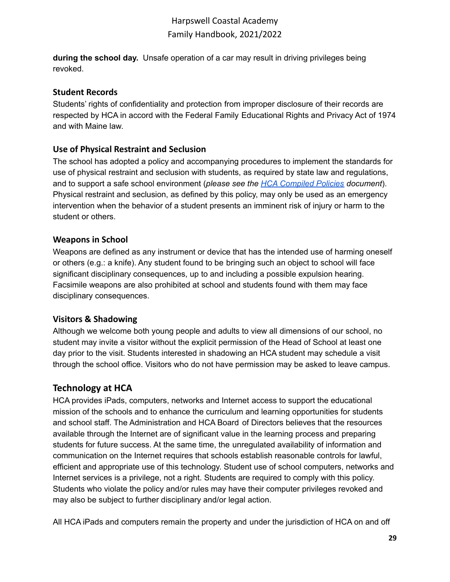**during the school day.** Unsafe operation of a car may result in driving privileges being revoked.

### <span id="page-28-0"></span>**Student Records**

Students' rights of confidentiality and protection from improper disclosure of their records are respected by HCA in accord with the Federal Family Educational Rights and Privacy Act of 1974 and with Maine law.

## <span id="page-28-1"></span>**Use of Physical Restraint and Seclusion**

The school has adopted a policy and accompanying procedures to implement the standards for use of physical restraint and seclusion with students, as required by state law and regulations, and to support a safe school environment (*please see the HCA [Compiled](https://harpswellcoastalacademy.org/policies-procedures/) Policies document*). Physical restraint and seclusion, as defined by this policy, may only be used as an emergency intervention when the behavior of a student presents an imminent risk of injury or harm to the student or others.

### <span id="page-28-2"></span>**Weapons in School**

Weapons are defined as any instrument or device that has the intended use of harming oneself or others (e.g.: a knife). Any student found to be bringing such an object to school will face significant disciplinary consequences, up to and including a possible expulsion hearing. Facsimile weapons are also prohibited at school and students found with them may face disciplinary consequences.

## <span id="page-28-3"></span>**Visitors & Shadowing**

Although we welcome both young people and adults to view all dimensions of our school, no student may invite a visitor without the explicit permission of the Head of School at least one day prior to the visit. Students interested in shadowing an HCA student may schedule a visit through the school office. Visitors who do not have permission may be asked to leave campus.

## <span id="page-28-4"></span>**Technology at HCA**

HCA provides iPads, computers, networks and Internet access to support the educational mission of the schools and to enhance the curriculum and learning opportunities for students and school staff. The Administration and HCA Board of Directors believes that the resources available through the Internet are of significant value in the learning process and preparing students for future success. At the same time, the unregulated availability of information and communication on the Internet requires that schools establish reasonable controls for lawful, efficient and appropriate use of this technology. Student use of school computers, networks and Internet services is a privilege, not a right. Students are required to comply with this policy. Students who violate the policy and/or rules may have their computer privileges revoked and may also be subject to further disciplinary and/or legal action.

All HCA iPads and computers remain the property and under the jurisdiction of HCA on and off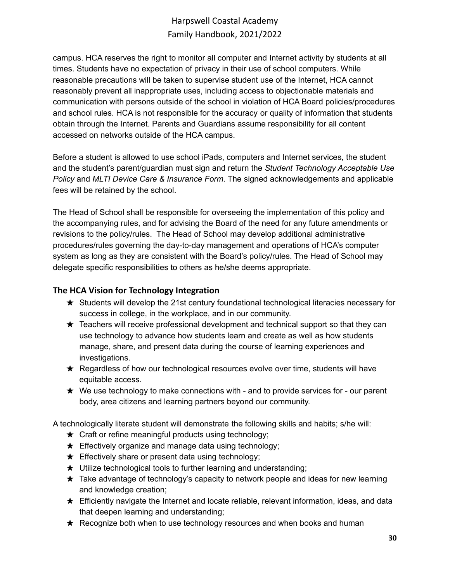campus. HCA reserves the right to monitor all computer and Internet activity by students at all times. Students have no expectation of privacy in their use of school computers. While reasonable precautions will be taken to supervise student use of the Internet, HCA cannot reasonably prevent all inappropriate uses, including access to objectionable materials and communication with persons outside of the school in violation of HCA Board policies/procedures and school rules. HCA is not responsible for the accuracy or quality of information that students obtain through the Internet. Parents and Guardians assume responsibility for all content accessed on networks outside of the HCA campus.

Before a student is allowed to use school iPads, computers and Internet services, the student and the student's parent/guardian must sign and return the *Student Technology Acceptable Use Policy* and *MLTI Device Care & Insurance Form*. The signed acknowledgements and applicable fees will be retained by the school.

The Head of School shall be responsible for overseeing the implementation of this policy and the accompanying rules, and for advising the Board of the need for any future amendments or revisions to the policy/rules. The Head of School may develop additional administrative procedures/rules governing the day-to-day management and operations of HCA's computer system as long as they are consistent with the Board's policy/rules. The Head of School may delegate specific responsibilities to others as he/she deems appropriate.

## <span id="page-29-0"></span>**The HCA Vision for Technology Integration**

- ★ Students will develop the 21st century foundational technological literacies necessary for success in college, in the workplace, and in our community.
- $\star$  Teachers will receive professional development and technical support so that they can use technology to advance how students learn and create as well as how students manage, share, and present data during the course of learning experiences and investigations.
- ★ Regardless of how our technological resources evolve over time, students will have equitable access.
- $\star$  We use technology to make connections with and to provide services for our parent body, area citizens and learning partners beyond our community.

A technologically literate student will demonstrate the following skills and habits; s/he will:

- $\star$  Craft or refine meaningful products using technology;
- $\star$  Effectively organize and manage data using technology;
- $\star$  Effectively share or present data using technology;
- $\star$  Utilize technological tools to further learning and understanding;
- $\star$  Take advantage of technology's capacity to network people and ideas for new learning and knowledge creation;
- $\star$  Efficiently navigate the Internet and locate reliable, relevant information, ideas, and data that deepen learning and understanding;
- ★ Recognize both when to use technology resources and when books and human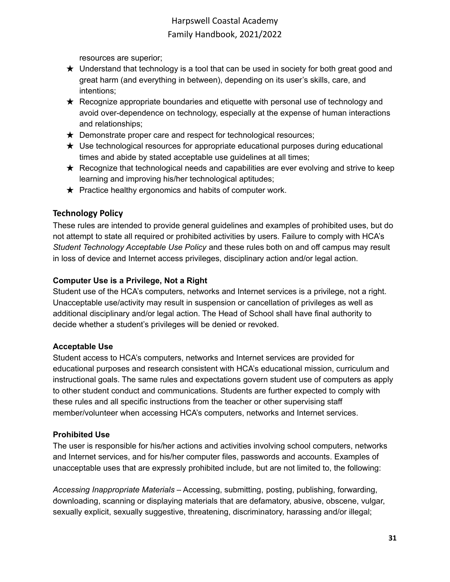resources are superior;

- ★ Understand that technology is a tool that can be used in society for both great good and great harm (and everything in between), depending on its user's skills, care, and intentions;
- ★ Recognize appropriate boundaries and etiquette with personal use of technology and avoid over-dependence on technology, especially at the expense of human interactions and relationships;
- $\star$  Demonstrate proper care and respect for technological resources;
- $\star$  Use technological resources for appropriate educational purposes during educational times and abide by stated acceptable use guidelines at all times;
- $\star$  Recognize that technological needs and capabilities are ever evolving and strive to keep learning and improving his/her technological aptitudes;
- $\star$  Practice healthy ergonomics and habits of computer work.

## <span id="page-30-0"></span>**Technology Policy**

These rules are intended to provide general guidelines and examples of prohibited uses, but do not attempt to state all required or prohibited activities by users. Failure to comply with HCA's *Student Technology Acceptable Use Policy* and these rules both on and off campus may result in loss of device and Internet access privileges, disciplinary action and/or legal action.

### **Computer Use is a Privilege, Not a Right**

Student use of the HCA's computers, networks and Internet services is a privilege, not a right. Unacceptable use/activity may result in suspension or cancellation of privileges as well as additional disciplinary and/or legal action. The Head of School shall have final authority to decide whether a student's privileges will be denied or revoked.

## **Acceptable Use**

Student access to HCA's computers, networks and Internet services are provided for educational purposes and research consistent with HCA's educational mission, curriculum and instructional goals. The same rules and expectations govern student use of computers as apply to other student conduct and communications. Students are further expected to comply with these rules and all specific instructions from the teacher or other supervising staff member/volunteer when accessing HCA's computers, networks and Internet services.

## **Prohibited Use**

The user is responsible for his/her actions and activities involving school computers, networks and Internet services, and for his/her computer files, passwords and accounts. Examples of unacceptable uses that are expressly prohibited include, but are not limited to, the following:

*Accessing Inappropriate Materials* – Accessing, submitting, posting, publishing, forwarding, downloading, scanning or displaying materials that are defamatory, abusive, obscene, vulgar, sexually explicit, sexually suggestive, threatening, discriminatory, harassing and/or illegal;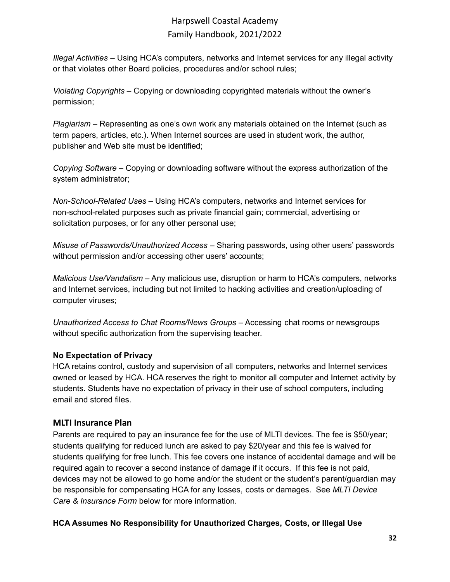*Illegal Activities* – Using HCA's computers, networks and Internet services for any illegal activity or that violates other Board policies, procedures and/or school rules;

*Violating Copyrights* – Copying or downloading copyrighted materials without the owner's permission;

*Plagiarism* – Representing as one's own work any materials obtained on the Internet (such as term papers, articles, etc.). When Internet sources are used in student work, the author, publisher and Web site must be identified;

*Copying Software* – Copying or downloading software without the express authorization of the system administrator;

*Non-School-Related Uses* – Using HCA's computers, networks and Internet services for non-school-related purposes such as private financial gain; commercial, advertising or solicitation purposes, or for any other personal use;

*Misuse of Passwords/Unauthorized Access* – Sharing passwords, using other users' passwords without permission and/or accessing other users' accounts;

*Malicious Use/Vandalism* – Any malicious use, disruption or harm to HCA's computers, networks and Internet services, including but not limited to hacking activities and creation/uploading of computer viruses;

*Unauthorized Access to Chat Rooms/News Groups* – Accessing chat rooms or newsgroups without specific authorization from the supervising teacher.

## **No Expectation of Privacy**

HCA retains control, custody and supervision of all computers, networks and Internet services owned or leased by HCA. HCA reserves the right to monitor all computer and Internet activity by students. Students have no expectation of privacy in their use of school computers, including email and stored files.

## <span id="page-31-0"></span>**MLTI Insurance Plan**

Parents are required to pay an insurance fee for the use of MLTI devices. The fee is \$50/year; students qualifying for reduced lunch are asked to pay \$20/year and this fee is waived for students qualifying for free lunch. This fee covers one instance of accidental damage and will be required again to recover a second instance of damage if it occurs. If this fee is not paid, devices may not be allowed to go home and/or the student or the student's parent/guardian may be responsible for compensating HCA for any losses, costs or damages. See *MLTI Device Care & Insurance Form* below for more information.

## **HCA Assumes No Responsibility for Unauthorized Charges, Costs, or Illegal Use**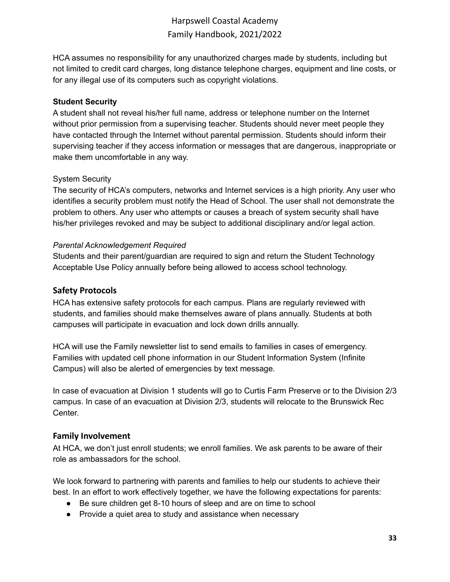HCA assumes no responsibility for any unauthorized charges made by students, including but not limited to credit card charges, long distance telephone charges, equipment and line costs, or for any illegal use of its computers such as copyright violations.

#### **Student Security**

A student shall not reveal his/her full name, address or telephone number on the Internet without prior permission from a supervising teacher. Students should never meet people they have contacted through the Internet without parental permission. Students should inform their supervising teacher if they access information or messages that are dangerous, inappropriate or make them uncomfortable in any way.

#### System Security

The security of HCA's computers, networks and Internet services is a high priority. Any user who identifies a security problem must notify the Head of School. The user shall not demonstrate the problem to others. Any user who attempts or causes a breach of system security shall have his/her privileges revoked and may be subject to additional disciplinary and/or legal action.

#### *Parental Acknowledgement Required*

Students and their parent/guardian are required to sign and return the Student Technology Acceptable Use Policy annually before being allowed to access school technology.

#### <span id="page-32-0"></span>**Safety Protocols**

HCA has extensive safety protocols for each campus. Plans are regularly reviewed with students, and families should make themselves aware of plans annually. Students at both campuses will participate in evacuation and lock down drills annually.

HCA will use the Family newsletter list to send emails to families in cases of emergency. Families with updated cell phone information in our Student Information System (Infinite Campus) will also be alerted of emergencies by text message.

In case of evacuation at Division 1 students will go to Curtis Farm Preserve or to the Division 2/3 campus. In case of an evacuation at Division 2/3, students will relocate to the Brunswick Rec Center.

### <span id="page-32-1"></span>**Family Involvement**

At HCA, we don't just enroll students; we enroll families. We ask parents to be aware of their role as ambassadors for the school.

We look forward to partnering with parents and families to help our students to achieve their best. In an effort to work effectively together, we have the following expectations for parents:

- Be sure children get 8-10 hours of sleep and are on time to school
- Provide a quiet area to study and assistance when necessary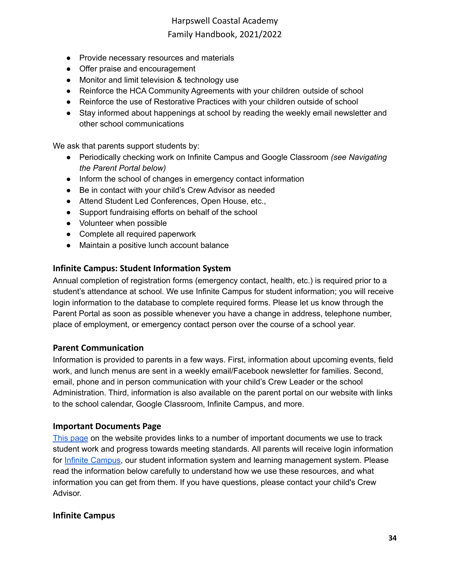- Provide necessary resources and materials
- Offer praise and encouragement
- Monitor and limit television & technology use
- Reinforce the HCA Community Agreements with your children outside of school
- Reinforce the use of Restorative Practices with your children outside of school
- Stay informed about happenings at school by reading the weekly email newsletter and other school communications

We ask that parents support students by:

- Periodically checking work on Infinite Campus and Google Classroom *(see Navigating the Parent Portal below)*
- Inform the school of changes in emergency contact information
- Be in contact with your child's Crew Advisor as needed
- Attend Student Led Conferences, Open House, etc.,
- Support fundraising efforts on behalf of the school
- Volunteer when possible
- Complete all required paperwork
- Maintain a positive lunch account balance

#### <span id="page-33-0"></span>**Infinite Campus: Student Information System**

Annual completion of registration forms (emergency contact, health, etc.) is required prior to a student's attendance at school. We use Infinite Campus for student information; you will receive login information to the database to complete required forms. Please let us know through the Parent Portal as soon as possible whenever you have a change in address, telephone number, place of employment, or emergency contact person over the course of a school year.

#### <span id="page-33-1"></span>**Parent Communication**

Information is provided to parents in a few ways. First, information about upcoming events, field work, and lunch menus are sent in a weekly email/Facebook newsletter for families. Second, email, phone and in person communication with your child's Crew Leader or the school Administration. Third, information is also available on the parent portal on our website with links to the school calendar, Google Classroom, Infinite Campus, and more.

#### <span id="page-33-2"></span>**Important Documents Page**

This [page](https://harpswellcoastalacademy.org/important-documents/) on the website provides links to a number of important documents we use to track student work and progress towards meeting standards. All parents will receive login information for **Infinite [Campus](https://mecloud2.infinitecampus.org/campus/portal/harpswell.jsp)**, our student information system and learning management system. Please read the information below carefully to understand how we use these resources, and what information you can get from them. If you have questions, please contact your child's Crew Advisor.

#### <span id="page-33-3"></span>**Infinite Campus**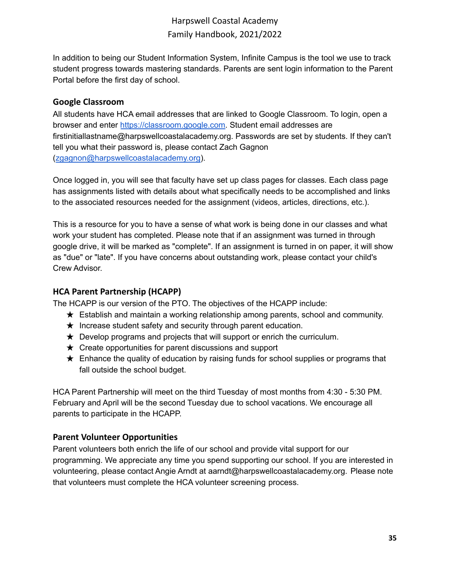In addition to being our Student Information System, Infinite Campus is the tool we use to track student progress towards mastering standards. Parents are sent login information to the Parent Portal before the first day of school.

### <span id="page-34-0"></span>**Google Classroom**

All students have HCA email addresses that are linked to Google Classroom. To login, open a browser and enter [https://classroom.google.com.](https://classroom.google.com/) Student email addresses are firstinitiallastname@harpswellcoastalacademy.org. Passwords are set by students. If they can't tell you what their password is, please contact Zach Gagnon ([zgagnon@harpswellcoastalacademy.org\)](mailto:zgagnon@harpswellcoastalacademy.org).

Once logged in, you will see that faculty have set up class pages for classes. Each class page has assignments listed with details about what specifically needs to be accomplished and links to the associated resources needed for the assignment (videos, articles, directions, etc.).

This is a resource for you to have a sense of what work is being done in our classes and what work your student has completed. Please note that if an assignment was turned in through google drive, it will be marked as "complete". If an assignment is turned in on paper, it will show as "due" or "late". If you have concerns about outstanding work, please contact your child's Crew Advisor.

## <span id="page-34-1"></span>**HCA Parent Partnership (HCAPP)**

The HCAPP is our version of the PTO. The objectives of the HCAPP include:

- $\star$  Establish and maintain a working relationship among parents, school and community.
- $\star$  Increase student safety and security through parent education.
- $\star$  Develop programs and projects that will support or enrich the curriculum.
- $\star$  Create opportunities for parent discussions and support
- $\star$  Enhance the quality of education by raising funds for school supplies or programs that fall outside the school budget.

HCA Parent Partnership will meet on the third Tuesday of most months from 4:30 - 5:30 PM. February and April will be the second Tuesday due to school vacations. We encourage all parents to participate in the HCAPP.

### <span id="page-34-2"></span>**Parent Volunteer Opportunities**

Parent volunteers both enrich the life of our school and provide vital support for our programming. We appreciate any time you spend supporting our school. If you are interested in volunteering, please contact Angie Arndt at aarndt@harpswellcoastalacademy.org. Please note that volunteers must complete the HCA volunteer screening process.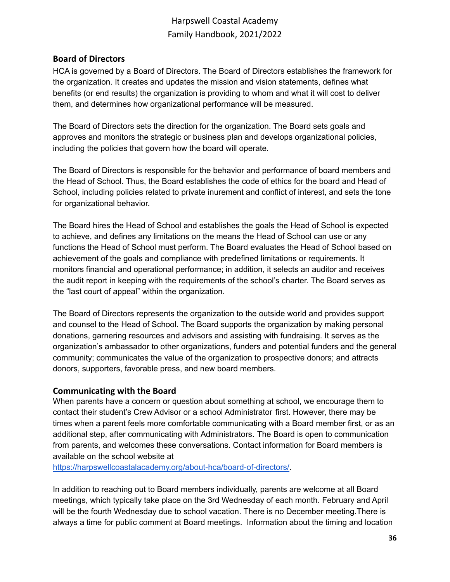### <span id="page-35-0"></span>**Board of Directors**

HCA is governed by a Board of Directors. The Board of Directors establishes the framework for the organization. It creates and updates the mission and vision statements, defines what benefits (or end results) the organization is providing to whom and what it will cost to deliver them, and determines how organizational performance will be measured.

The Board of Directors sets the direction for the organization. The Board sets goals and approves and monitors the strategic or business plan and develops organizational policies, including the policies that govern how the board will operate.

The Board of Directors is responsible for the behavior and performance of board members and the Head of School. Thus, the Board establishes the code of ethics for the board and Head of School, including policies related to private inurement and conflict of interest, and sets the tone for organizational behavior.

The Board hires the Head of School and establishes the goals the Head of School is expected to achieve, and defines any limitations on the means the Head of School can use or any functions the Head of School must perform. The Board evaluates the Head of School based on achievement of the goals and compliance with predefined limitations or requirements. It monitors financial and operational performance; in addition, it selects an auditor and receives the audit report in keeping with the requirements of the school's charter. The Board serves as the "last court of appeal" within the organization.

The Board of Directors represents the organization to the outside world and provides support and counsel to the Head of School. The Board supports the organization by making personal donations, garnering resources and advisors and assisting with fundraising. It serves as the organization's ambassador to other organizations, funders and potential funders and the general community; communicates the value of the organization to prospective donors; and attracts donors, supporters, favorable press, and new board members.

#### <span id="page-35-1"></span>**Communicating with the Board**

When parents have a concern or question about something at school, we encourage them to contact their student's Crew Advisor or a school Administrator first. However, there may be times when a parent feels more comfortable communicating with a Board member first, or as an additional step, after communicating with Administrators. The Board is open to communication from parents, and welcomes these conversations. Contact information for Board members is available on the school website at

[https://harpswellcoastalacademy.org/about-hca/board-of-directors/.](https://harpswellcoastalacademy.org/about-hca/board-of-directors/)

In addition to reaching out to Board members individually, parents are welcome at all Board meetings, which typically take place on the 3rd Wednesday of each month. February and April will be the fourth Wednesday due to school vacation. There is no December meeting.There is always a time for public comment at Board meetings. Information about the timing and location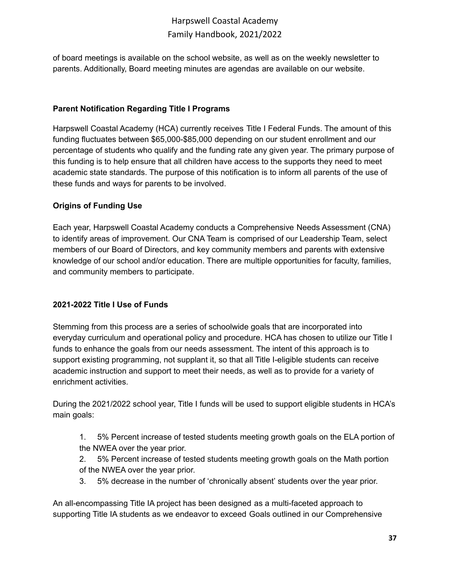of board meetings is available on the school website, as well as on the weekly newsletter to parents. Additionally, Board meeting minutes are agendas are available on our website.

### **Parent Notification Regarding Title I Programs**

Harpswell Coastal Academy (HCA) currently receives Title I Federal Funds. The amount of this funding fluctuates between \$65,000-\$85,000 depending on our student enrollment and our percentage of students who qualify and the funding rate any given year. The primary purpose of this funding is to help ensure that all children have access to the supports they need to meet academic state standards. The purpose of this notification is to inform all parents of the use of these funds and ways for parents to be involved.

### **Origins of Funding Use**

Each year, Harpswell Coastal Academy conducts a Comprehensive Needs Assessment (CNA) to identify areas of improvement. Our CNA Team is comprised of our Leadership Team, select members of our Board of Directors, and key community members and parents with extensive knowledge of our school and/or education. There are multiple opportunities for faculty, families, and community members to participate.

### **2021-2022 Title I Use of Funds**

Stemming from this process are a series of schoolwide goals that are incorporated into everyday curriculum and operational policy and procedure. HCA has chosen to utilize our Title I funds to enhance the goals from our needs assessment. The intent of this approach is to support existing programming, not supplant it, so that all Title I-eligible students can receive academic instruction and support to meet their needs, as well as to provide for a variety of enrichment activities.

During the 2021/2022 school year, Title I funds will be used to support eligible students in HCA's main goals:

1. 5% Percent increase of tested students meeting growth goals on the ELA portion of the NWEA over the year prior.

2. 5% Percent increase of tested students meeting growth goals on the Math portion of the NWEA over the year prior.

3. 5% decrease in the number of 'chronically absent' students over the year prior.

An all-encompassing Title IA project has been designed as a multi-faceted approach to supporting Title IA students as we endeavor to exceed Goals outlined in our Comprehensive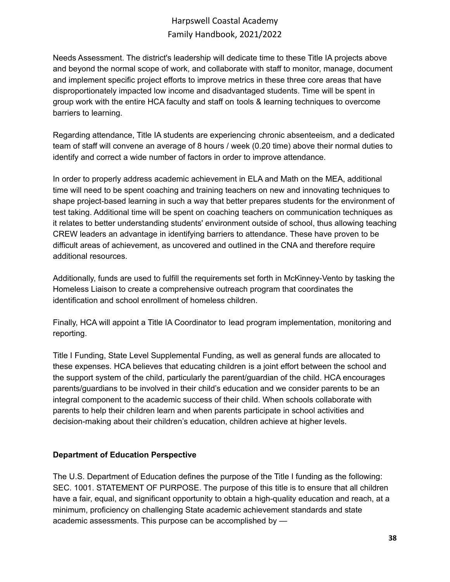Needs Assessment. The district's leadership will dedicate time to these Title IA projects above and beyond the normal scope of work, and collaborate with staff to monitor, manage, document and implement specific project efforts to improve metrics in these three core areas that have disproportionately impacted low income and disadvantaged students. Time will be spent in group work with the entire HCA faculty and staff on tools & learning techniques to overcome barriers to learning.

Regarding attendance, Title IA students are experiencing chronic absenteeism, and a dedicated team of staff will convene an average of 8 hours / week (0.20 time) above their normal duties to identify and correct a wide number of factors in order to improve attendance.

In order to properly address academic achievement in ELA and Math on the MEA, additional time will need to be spent coaching and training teachers on new and innovating techniques to shape project-based learning in such a way that better prepares students for the environment of test taking. Additional time will be spent on coaching teachers on communication techniques as it relates to better understanding students' environment outside of school, thus allowing teaching CREW leaders an advantage in identifying barriers to attendance. These have proven to be difficult areas of achievement, as uncovered and outlined in the CNA and therefore require additional resources.

Additionally, funds are used to fulfill the requirements set forth in McKinney-Vento by tasking the Homeless Liaison to create a comprehensive outreach program that coordinates the identification and school enrollment of homeless children.

Finally, HCA will appoint a Title IA Coordinator to lead program implementation, monitoring and reporting.

Title I Funding, State Level Supplemental Funding, as well as general funds are allocated to these expenses. HCA believes that educating children is a joint effort between the school and the support system of the child, particularly the parent/guardian of the child. HCA encourages parents/guardians to be involved in their child's education and we consider parents to be an integral component to the academic success of their child. When schools collaborate with parents to help their children learn and when parents participate in school activities and decision-making about their children's education, children achieve at higher levels.

### **Department of Education Perspective**

The U.S. Department of Education defines the purpose of the Title I funding as the following: SEC. 1001. STATEMENT OF PURPOSE. The purpose of this title is to ensure that all children have a fair, equal, and significant opportunity to obtain a high-quality education and reach, at a minimum, proficiency on challenging State academic achievement standards and state academic assessments. This purpose can be accomplished by —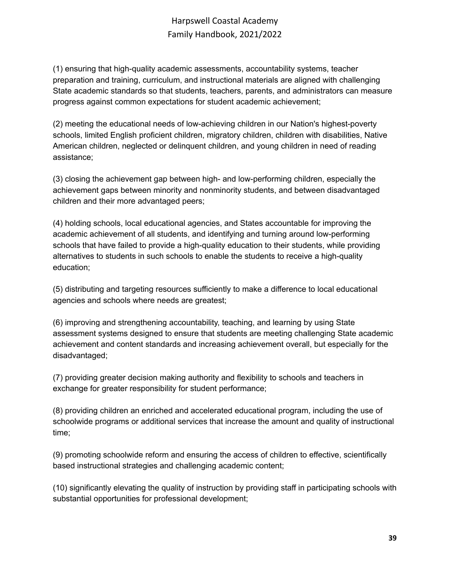(1) ensuring that high-quality academic assessments, accountability systems, teacher preparation and training, curriculum, and instructional materials are aligned with challenging State academic standards so that students, teachers, parents, and administrators can measure progress against common expectations for student academic achievement;

(2) meeting the educational needs of low-achieving children in our Nation's highest-poverty schools, limited English proficient children, migratory children, children with disabilities, Native American children, neglected or delinquent children, and young children in need of reading assistance;

(3) closing the achievement gap between high- and low-performing children, especially the achievement gaps between minority and nonminority students, and between disadvantaged children and their more advantaged peers;

(4) holding schools, local educational agencies, and States accountable for improving the academic achievement of all students, and identifying and turning around low-performing schools that have failed to provide a high-quality education to their students, while providing alternatives to students in such schools to enable the students to receive a high-quality education;

(5) distributing and targeting resources sufficiently to make a difference to local educational agencies and schools where needs are greatest;

(6) improving and strengthening accountability, teaching, and learning by using State assessment systems designed to ensure that students are meeting challenging State academic achievement and content standards and increasing achievement overall, but especially for the disadvantaged;

(7) providing greater decision making authority and flexibility to schools and teachers in exchange for greater responsibility for student performance;

(8) providing children an enriched and accelerated educational program, including the use of schoolwide programs or additional services that increase the amount and quality of instructional time;

(9) promoting schoolwide reform and ensuring the access of children to effective, scientifically based instructional strategies and challenging academic content;

(10) significantly elevating the quality of instruction by providing staff in participating schools with substantial opportunities for professional development;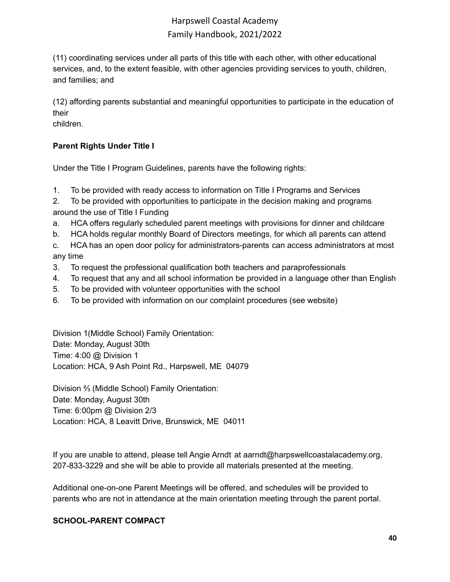(11) coordinating services under all parts of this title with each other, with other educational services, and, to the extent feasible, with other agencies providing services to youth, children, and families; and

(12) affording parents substantial and meaningful opportunities to participate in the education of their

children.

## **Parent Rights Under Title I**

Under the Title I Program Guidelines, parents have the following rights:

1. To be provided with ready access to information on Title I Programs and Services

2. To be provided with opportunities to participate in the decision making and programs around the use of Title I Funding

- a. HCA offers regularly scheduled parent meetings with provisions for dinner and childcare
- b. HCA holds regular monthly Board of Directors meetings, for which all parents can attend

c. HCA has an open door policy for administrators-parents can access administrators at most any time

- 3. To request the professional qualification both teachers and paraprofessionals
- 4. To request that any and all school information be provided in a language other than English
- 5. To be provided with volunteer opportunities with the school
- 6. To be provided with information on our complaint procedures (see website)

Division 1(Middle School) Family Orientation: Date: Monday, August 30th Time: 4:00 @ Division 1 Location: HCA, 9 Ash Point Rd., Harpswell, ME 04079

Division ⅔ (Middle School) Family Orientation: Date: Monday, August 30th Time: 6:00pm @ Division 2/3 Location: HCA, 8 Leavitt Drive, Brunswick, ME 04011

If you are unable to attend, please tell Angie Arndt at aarndt@harpswellcoastalacademy.org, 207-833-3229 and she will be able to provide all materials presented at the meeting.

Additional one-on-one Parent Meetings will be offered, and schedules will be provided to parents who are not in attendance at the main orientation meeting through the parent portal.

### **SCHOOL-PARENT COMPACT**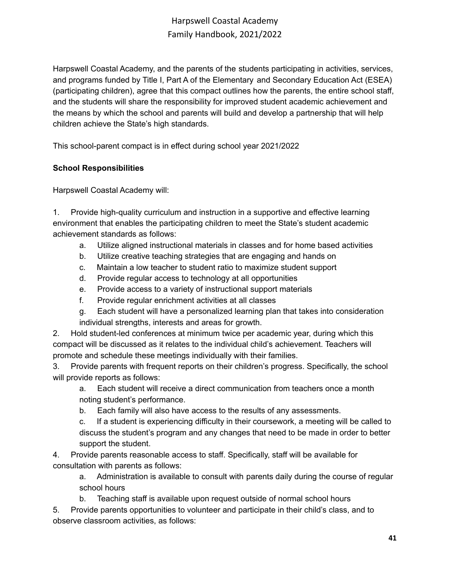Harpswell Coastal Academy, and the parents of the students participating in activities, services, and programs funded by Title I, Part A of the Elementary and Secondary Education Act (ESEA) (participating children), agree that this compact outlines how the parents, the entire school staff, and the students will share the responsibility for improved student academic achievement and the means by which the school and parents will build and develop a partnership that will help children achieve the State's high standards.

This school-parent compact is in effect during school year 2021/2022

### **School Responsibilities**

Harpswell Coastal Academy will:

1. Provide high-quality curriculum and instruction in a supportive and effective learning environment that enables the participating children to meet the State's student academic achievement standards as follows:

- a. Utilize aligned instructional materials in classes and for home based activities
- b. Utilize creative teaching strategies that are engaging and hands on
- c. Maintain a low teacher to student ratio to maximize student support
- d. Provide regular access to technology at all opportunities
- e. Provide access to a variety of instructional support materials
- f. Provide regular enrichment activities at all classes
- g. Each student will have a personalized learning plan that takes into consideration individual strengths, interests and areas for growth.

2. Hold student-led conferences at minimum twice per academic year, during which this compact will be discussed as it relates to the individual child's achievement. Teachers will promote and schedule these meetings individually with their families.

3. Provide parents with frequent reports on their children's progress. Specifically, the school will provide reports as follows:

a. Each student will receive a direct communication from teachers once a month noting student's performance.

b. Each family will also have access to the results of any assessments.

c. If a student is experiencing difficulty in their coursework, a meeting will be called to discuss the student's program and any changes that need to be made in order to better support the student.

4. Provide parents reasonable access to staff. Specifically, staff will be available for consultation with parents as follows:

a. Administration is available to consult with parents daily during the course of regular school hours

b. Teaching staff is available upon request outside of normal school hours

5. Provide parents opportunities to volunteer and participate in their child's class, and to observe classroom activities, as follows: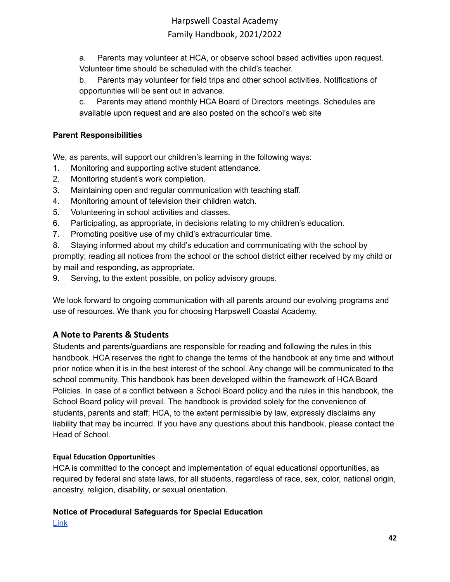a. Parents may volunteer at HCA, or observe school based activities upon request. Volunteer time should be scheduled with the child's teacher.

b. Parents may volunteer for field trips and other school activities. Notifications of opportunities will be sent out in advance.

c. Parents may attend monthly HCA Board of Directors meetings. Schedules are available upon request and are also posted on the school's web site

## **Parent Responsibilities**

We, as parents, will support our children's learning in the following ways:

- 1. Monitoring and supporting active student attendance.
- 2. Monitoring student's work completion.
- 3. Maintaining open and regular communication with teaching staff.
- 4. Monitoring amount of television their children watch.
- 5. Volunteering in school activities and classes.
- 6. Participating, as appropriate, in decisions relating to my children's education.
- 7. Promoting positive use of my child's extracurricular time.

8. Staying informed about my child's education and communicating with the school by promptly; reading all notices from the school or the school district either received by my child or by mail and responding, as appropriate.

9. Serving, to the extent possible, on policy advisory groups.

We look forward to ongoing communication with all parents around our evolving programs and use of resources. We thank you for choosing Harpswell Coastal Academy.

## <span id="page-41-0"></span>**A Note to Parents & Students**

Students and parents/guardians are responsible for reading and following the rules in this handbook. HCA reserves the right to change the terms of the handbook at any time and without prior notice when it is in the best interest of the school. Any change will be communicated to the school community. This handbook has been developed within the framework of HCA Board Policies. In case of a conflict between a School Board policy and the rules in this handbook, the School Board policy will prevail. The handbook is provided solely for the convenience of students, parents and staff; HCA, to the extent permissible by law, expressly disclaims any liability that may be incurred. If you have any questions about this handbook, please contact the Head of School.

## <span id="page-41-1"></span>**Equal Education Opportunities**

HCA is committed to the concept and implementation of equal educational opportunities, as required by federal and state laws, for all students, regardless of race, sex, color, national origin, ancestry, religion, disability, or sexual orientation.

# **Notice of Procedural Safeguards for Special Education**

[Link](https://www.maine.gov/doe/sites/maine.gov.doe/files/inline-files/english.pdf)